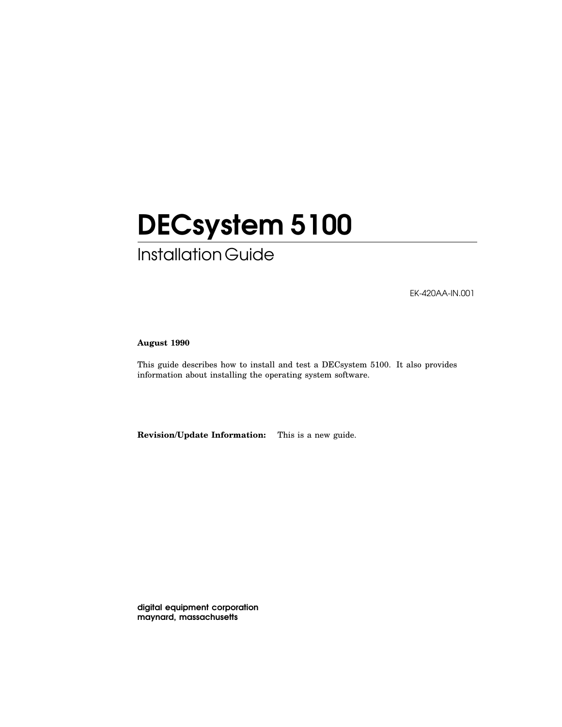# DECsystem 5100

## Installation Guide

EK-420AA-IN.001

#### **August 1990**

This guide describes how to install and test a DECsystem 5100. It also provides information about installing the operating system software.

**Revision/Update Information:** This is a new guide.

digital equipment corporation maynard, massachusetts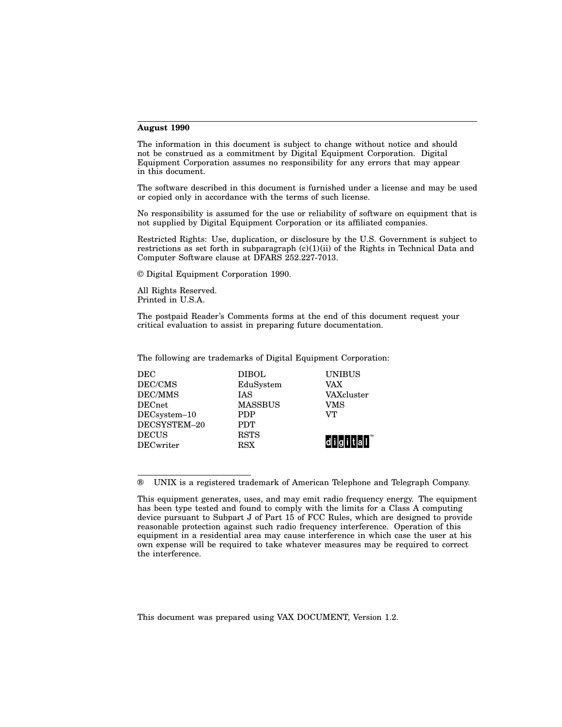#### **August 1990**

The information in this document is subject to change without notice and should not be construed as a commitment by Digital Equipment Corporation. Digital Equipment Corporation assumes no responsibility for any errors that may appear in this document.

The software described in this document is furnished under a license and may be used or copied only in accordance with the terms of such license.

No responsibility is assumed for the use or reliability of software on equipment that is not supplied by Digital Equipment Corporation or its affiliated companies.

Restricted Rights: Use, duplication, or disclosure by the U.S. Government is subject to restrictions as set forth in subparagraph  $(c)(1)(ii)$  of the Rights in Technical Data and Computer Software clause at DFARS 252.227-7013.

© Digital Equipment Corporation 1990.

All Rights Reserved. Printed in U.S.A.

The postpaid Reader's Comments forms at the end of this document request your critical evaluation to assist in preparing future documentation.

The following are trademarks of Digital Equipment Corporation:

| DEC              | <b>DIBOL</b>   | <b>UNIBUS</b>           |
|------------------|----------------|-------------------------|
| DEC/CMS          | EduSystem      | <b>VAX</b>              |
| DEC/MMS          | <b>IAS</b>     | VAXcluster              |
| <b>DECnet</b>    | <b>MASSBUS</b> | VMS                     |
| DECsystem-10     | <b>PDP</b>     | VT                      |
| DECSYSTEM-20     | <b>PDT</b>     |                         |
| <b>DECUS</b>     | <b>RSTS</b>    |                         |
| <b>DECwriter</b> | <b>RSX</b>     | ldl i lal i l t lal I l |
|                  |                |                         |

<sup>®</sup> UNIX is a registered trademark of American Telephone and Telegraph Company.

This document was prepared using VAX DOCUMENT, Version 1.2.

This equipment generates, uses, and may emit radio frequency energy. The equipment has been type tested and found to comply with the limits for a Class A computing device pursuant to Subpart J of Part 15 of FCC Rules, which are designed to provide reasonable protection against such radio frequency interference. Operation of this equipment in a residential area may cause interference in which case the user at his own expense will be required to take whatever measures may be required to correct the interference.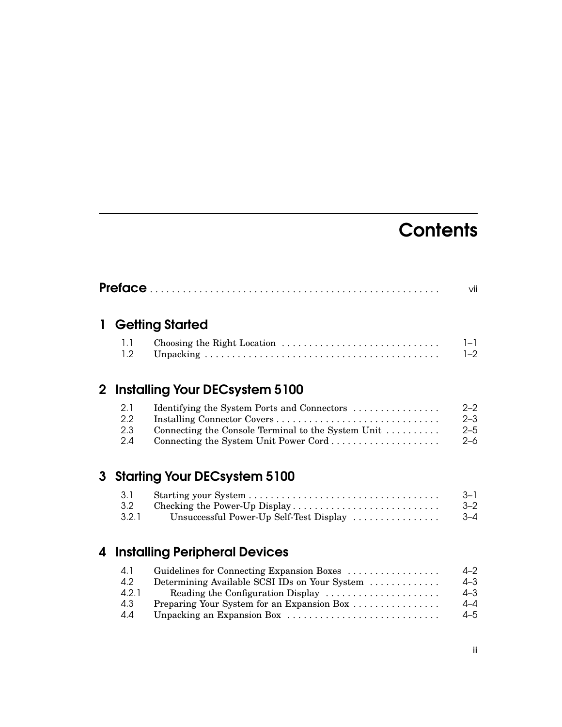## **Contents**

|   |                          |                                                                                                                                            | vii                                  |
|---|--------------------------|--------------------------------------------------------------------------------------------------------------------------------------------|--------------------------------------|
| 1 |                          | <b>Getting Started</b>                                                                                                                     |                                      |
|   | 1.1<br>1.2               |                                                                                                                                            | $1 - 1$<br>$1 - 2$                   |
|   |                          | 2 Installing Your DECsystem 5100                                                                                                           |                                      |
|   | 2.1<br>2.2<br>2.3<br>2.4 | Identifying the System Ports and Connectors<br>Connecting the Console Terminal to the System Unit<br>Connecting the System Unit Power Cord | $2 - 2$<br>$2 - 3$<br>$2 - 5$<br>2–6 |
| 3 |                          | <b>Starting Your DECsystem 5100</b>                                                                                                        |                                      |
|   | 3.1<br>3.2<br>3.2.1      | Checking the Power-Up Display<br>Unsuccessful Power-Up Self-Test Display                                                                   | $3 - 1$<br>$3 - 2$<br>$3 - 4$        |
|   |                          | A Installing Deripheral Devices                                                                                                            |                                      |

#### 4 Installing Peripheral Devices

| 4.1   | Guidelines for Connecting Expansion Boxes     | $4 - 2$ |
|-------|-----------------------------------------------|---------|
| 4.2   | Determining Available SCSI IDs on Your System | $4 - 3$ |
| 4.2.1 | Reading the Configuration Display             | $4 - 3$ |
| 4.3   | Preparing Your System for an Expansion Box    | $4 - 4$ |
| 4.4   | Unpacking an Expansion Box                    | $4 - 5$ |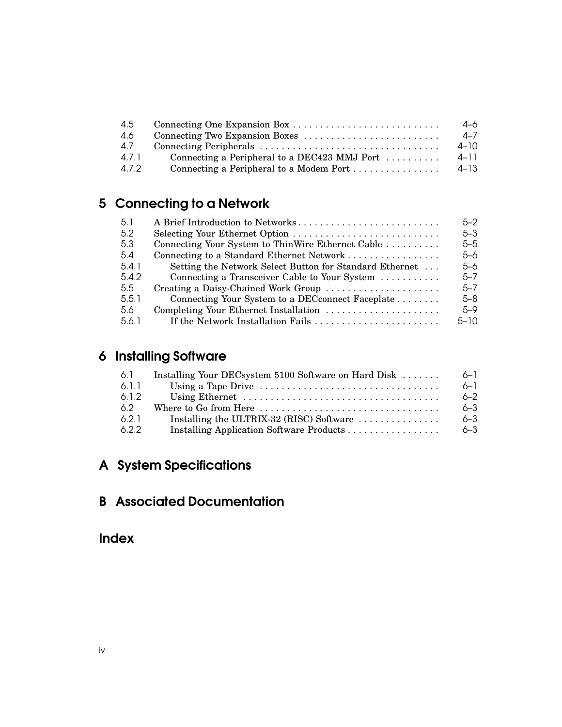| 4.5   |                                              | 4–6      |
|-------|----------------------------------------------|----------|
| -4.6  |                                              | $4 - 7$  |
| 4.7   |                                              | 4–10     |
| 4.7.1 | Connecting a Peripheral to a DEC423 MMJ Port | $4 - 11$ |
| 4.7.2 | Connecting a Peripheral to a Modem Port      | $4 - 13$ |

## 5 Connecting to a Network

| $5 - 3$<br>$5 - 5$ |
|--------------------|
|                    |
|                    |
| $5 - 6$            |
| $5 - 6$            |
| $5 - 7$            |
| $5 - 7$            |
| $5 - 8$            |
| $5 - 9$            |
| $5 - 10$           |
|                    |

## 6 Installing Software

| 6.1   | Installing Your DECsystem 5100 Software on Hard Disk                                      | $6 - 1$ |
|-------|-------------------------------------------------------------------------------------------|---------|
| 6.1.1 |                                                                                           | $6 - 1$ |
| 6.1.2 |                                                                                           | $6 - 2$ |
| -6.2  | Where to Go from Here $\dots \dots \dots \dots \dots \dots \dots \dots \dots \dots \dots$ | $6 - 3$ |
| 6.2.1 | Installing the ULTRIX-32 (RISC) Software $\dots\dots\dots\dots\dots$                      | $6 - 3$ |
| 6.2.2 |                                                                                           | $6 - 3$ |

## A System Specifications

#### B Associated Documentation

Index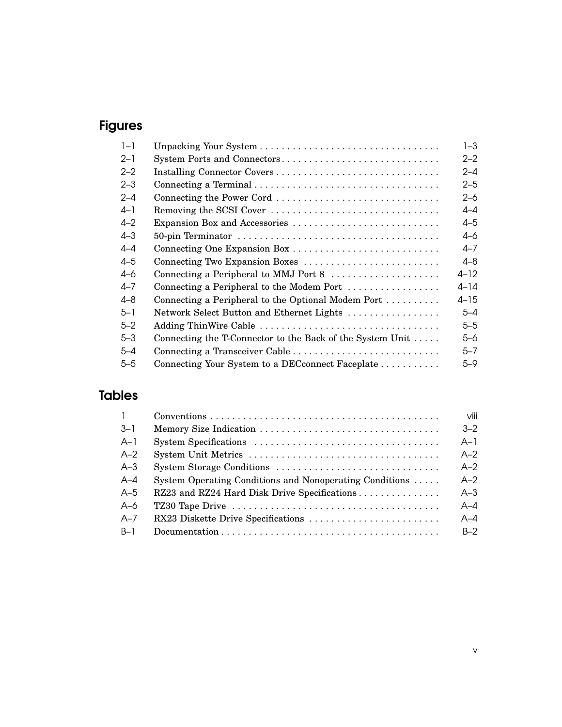## Figures

| $1 - 1$ |                                                                      | $1 - 3$  |
|---------|----------------------------------------------------------------------|----------|
| $2 - 1$ | System Ports and Connectors                                          | $2 - 2$  |
| $2 - 2$ |                                                                      | $2 - 4$  |
| $2 - 3$ |                                                                      | $2 - 5$  |
| $2 - 4$ | Connecting the Power Cord                                            | $2 - 6$  |
| $4 - 1$ | Removing the SCSI Cover                                              | $4-4$    |
| $4 - 2$ | Expansion Box and Accessories                                        | $4 - 5$  |
| $4 - 3$ |                                                                      | $4 - 6$  |
| $4 - 4$ |                                                                      | 4–7      |
| $4 - 5$ | Connecting Two Expansion Boxes                                       | $4 - 8$  |
| $4 - 6$ | Connecting a Peripheral to MMJ Port 8                                | $4 - 12$ |
| 4–7     | Connecting a Peripheral to the Modem Port                            | $4 - 14$ |
| 4–8     | Connecting a Peripheral to the Optional Modem Port $\dots\dots\dots$ | $4 - 15$ |
| $5 - 1$ | Network Select Button and Ethernet Lights                            | $5 - 4$  |
| $5 - 2$ | Adding ThinWire Cable                                                | $5 - 5$  |
| $5 - 3$ | Connecting the T-Connector to the Back of the System Unit $\dots$ .  | $5 - 6$  |
| $5 - 4$ | Connecting a Transceiver Cable                                       | $5 - 7$  |
| $5 - 5$ | Connecting Your System to a DEC connect Faceplate                    | $5 - 9$  |

## Tables

| $\overline{1}$ | $Conventions \dots \dots \dots \dots \dots \dots \dots \dots \dots \dots \dots \dots \dots \dots \dots \dots$ | viii    |
|----------------|---------------------------------------------------------------------------------------------------------------|---------|
| $-3-1$         |                                                                                                               | $3 - 2$ |
| $A-1$          |                                                                                                               | $A-1$   |
| $A-2$          |                                                                                                               | $A-2$   |
| $A-3$          |                                                                                                               | $A-2$   |
| $A - 4$        | System Operating Conditions and Nonoperating Conditions                                                       | $A-2$   |
| $A-5$          | RZ23 and RZ24 Hard Disk Drive Specifications                                                                  | $A-3$   |
| $A-6$          |                                                                                                               | $A - 4$ |
| $A - 7$        | RX23 Diskette Drive Specifications                                                                            | $A - A$ |
| $B-1$          |                                                                                                               | $B-2$   |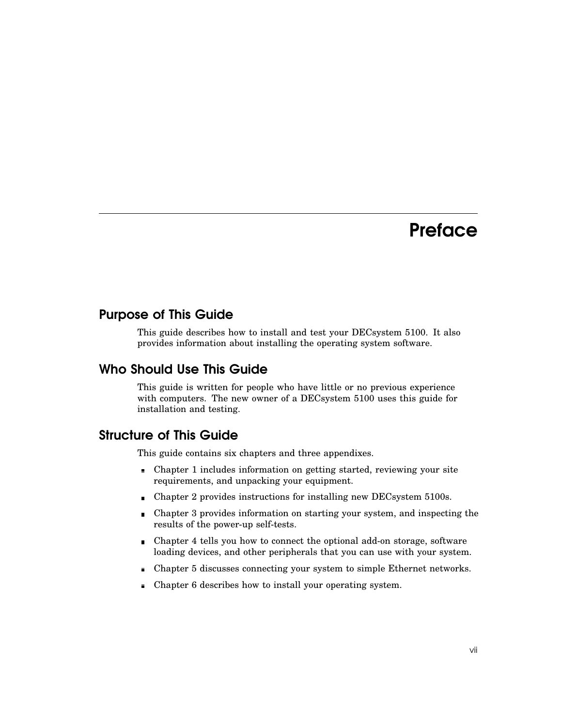## **Preface**

#### Purpose of This Guide

This guide describes how to install and test your DECsystem 5100. It also provides information about installing the operating system software.

#### Who Should Use This Guide

This guide is written for people who have little or no previous experience with computers. The new owner of a DECsystem 5100 uses this guide for installation and testing.

#### Structure of This Guide

This guide contains six chapters and three appendixes.

- Chapter 1 includes information on getting started, reviewing your site requirements, and unpacking your equipment.
- Chapter 2 provides instructions for installing new DECsystem 5100s.
- Chapter 3 provides information on starting your system, and inspecting the  $\blacksquare$ results of the power-up self-tests.
- Chapter 4 tells you how to connect the optional add-on storage, software loading devices, and other peripherals that you can use with your system.
- Chapter 5 discusses connecting your system to simple Ethernet networks.
- Chapter 6 describes how to install your operating system.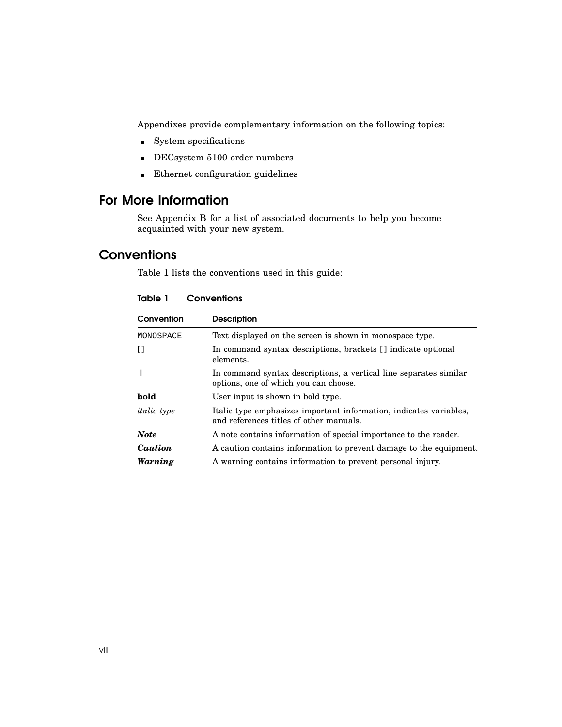Appendixes provide complementary information on the following topics:

- System specifications
- DECsystem 5100 order numbers
- Ethernet configuration guidelines

#### For More Information

See Appendix B for a list of associated documents to help you become acquainted with your new system.

#### **Conventions**

Table 1 lists the conventions used in this guide:

| Convention         | <b>Description</b>                                                                                            |  |
|--------------------|---------------------------------------------------------------------------------------------------------------|--|
| MONOSPACE          | Text displayed on the screen is shown in monospace type.                                                      |  |
| $\Box$             | In command syntax descriptions, brackets [] indicate optional<br>elements.                                    |  |
|                    | In command syntax descriptions, a vertical line separates similar<br>options, one of which you can choose.    |  |
| bold               | User input is shown in bold type.                                                                             |  |
| <i>italic</i> type | Italic type emphasizes important information, indicates variables,<br>and references titles of other manuals. |  |
| <b>Note</b>        | A note contains information of special importance to the reader.                                              |  |
| Caution            | A caution contains information to prevent damage to the equipment.                                            |  |
| Warning            | A warning contains information to prevent personal injury.                                                    |  |

| Table 1<br>Conventions |
|------------------------|
|------------------------|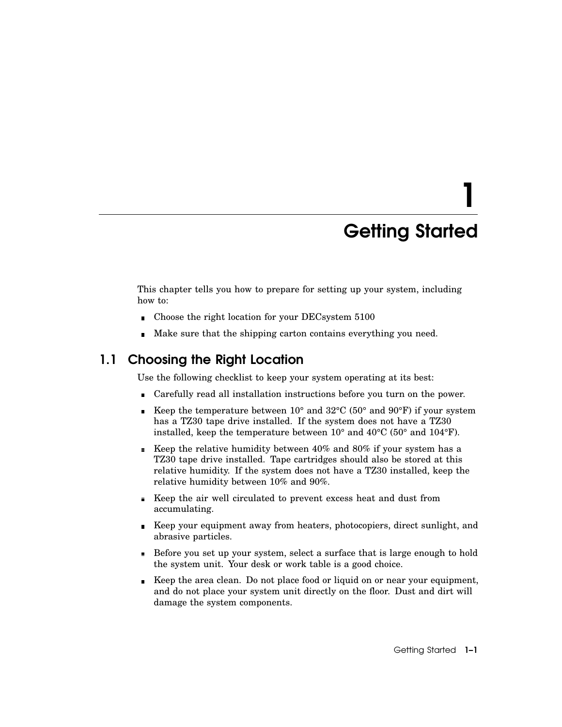# 1 Getting Started

This chapter tells you how to prepare for setting up your system, including how to:

- Choose the right location for your DECsystem 5100  $\blacksquare$
- Make sure that the shipping carton contains everything you need.

#### 1.1 Choosing the Right Location

Use the following checklist to keep your system operating at its best:

- Carefully read all installation instructions before you turn on the power.
- Example 10° and 32 $^{\circ}$ C (50° and 90 $^{\circ}$ F) if your system has a TZ30 tape drive installed. If the system does not have a TZ30 installed, keep the temperature between 10° and 40°C (50° and 104°F).
- Exerprobe relative humidity between  $40\%$  and  $80\%$  if your system has a TZ30 tape drive installed. Tape cartridges should also be stored at this relative humidity. If the system does not have a TZ30 installed, keep the relative humidity between 10% and 90%.
- Keep the air well circulated to prevent excess heat and dust from accumulating.
- Keep your equipment away from heaters, photocopiers, direct sunlight, and abrasive particles.
- Before you set up your system, select a surface that is large enough to hold the system unit. Your desk or work table is a good choice.
- Keep the area clean. Do not place food or liquid on or near your equipment, and do not place your system unit directly on the floor. Dust and dirt will damage the system components.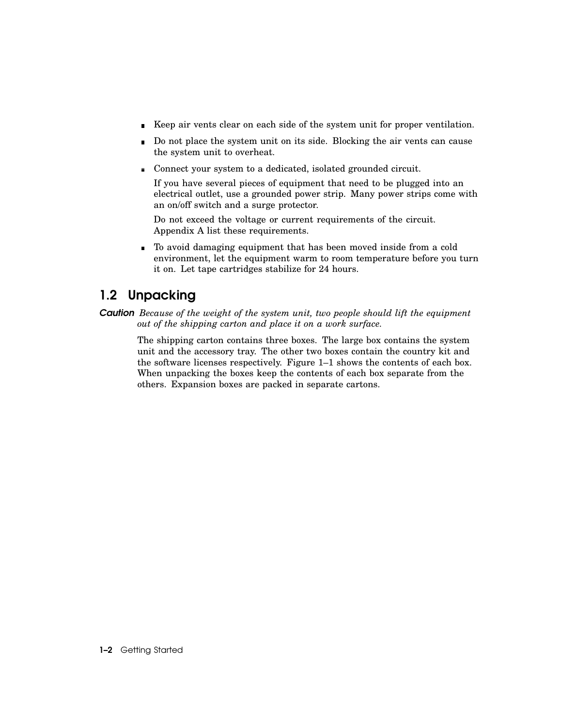- Keep air vents clear on each side of the system unit for proper ventilation.
- Do not place the system unit on its side. Blocking the air vents can cause  $\blacksquare$ the system unit to overheat.
- Connect your system to a dedicated, isolated grounded circuit.

If you have several pieces of equipment that need to be plugged into an electrical outlet, use a grounded power strip. Many power strips come with an on/off switch and a surge protector.

Do not exceed the voltage or current requirements of the circuit. Appendix A list these requirements.

To avoid damaging equipment that has been moved inside from a cold environment, let the equipment warm to room temperature before you turn it on. Let tape cartridges stabilize for 24 hours.

#### 1.2 Unpacking

*Caution Because of the weight of the system unit, two people should lift the equipment out of the shipping carton and place it on a work surface.*

The shipping carton contains three boxes. The large box contains the system unit and the accessory tray. The other two boxes contain the country kit and the software licenses respectively. Figure 1–1 shows the contents of each box. When unpacking the boxes keep the contents of each box separate from the others. Expansion boxes are packed in separate cartons.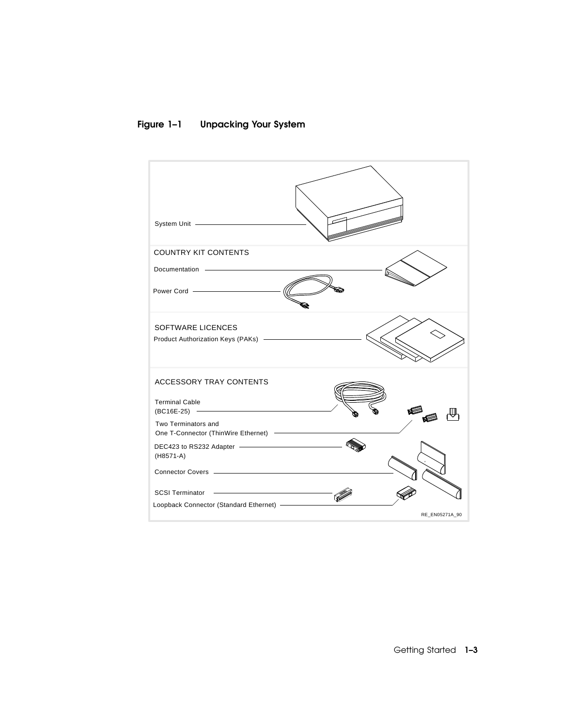#### Figure 1–1 Unpacking Your System



Getting Started 1-3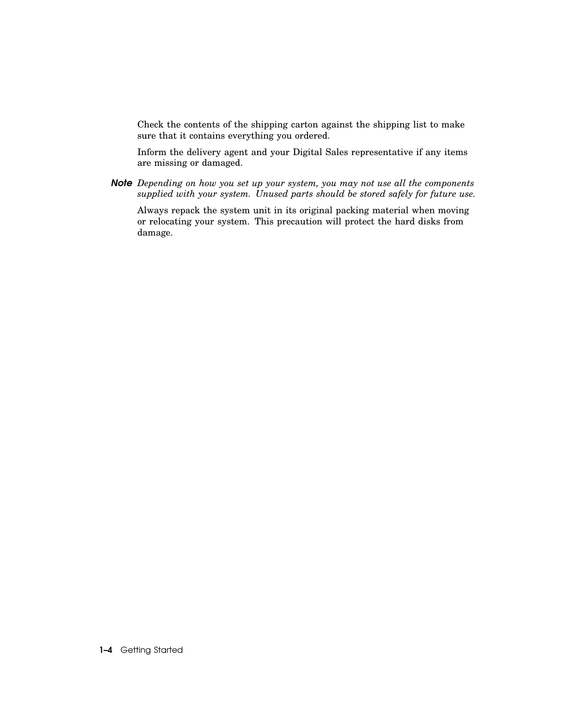Check the contents of the shipping carton against the shipping list to make sure that it contains everything you ordered.

Inform the delivery agent and your Digital Sales representative if any items are missing or damaged.

*Note Depending on how you set up your system, you may not use all the components supplied with your system. Unused parts should be stored safely for future use.*

Always repack the system unit in its original packing material when moving or relocating your system. This precaution will protect the hard disks from damage.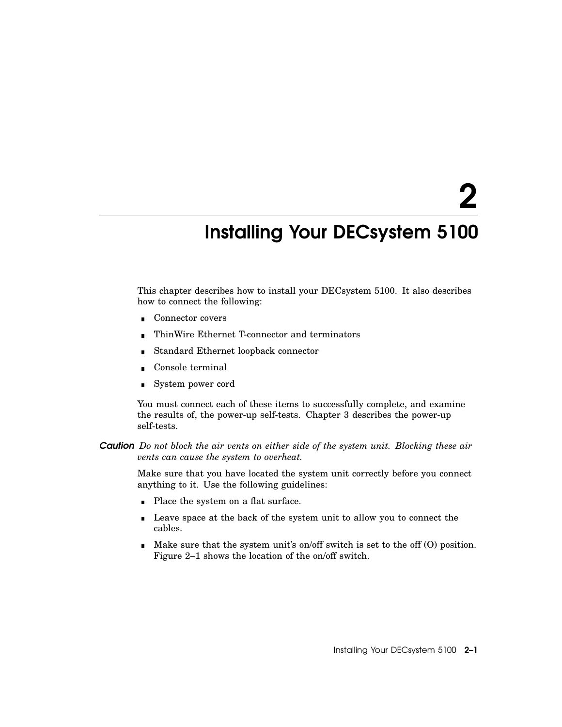2

## Installing Your DECsystem 5100

This chapter describes how to install your DECsystem 5100. It also describes how to connect the following:

- Connector covers
- ThinWire Ethernet T-connector and terminators  $\blacksquare$
- Standard Ethernet loopback connector  $\blacksquare$
- Console terminal
- System power cord

You must connect each of these items to successfully complete, and examine the results of, the power-up self-tests. Chapter 3 describes the power-up self-tests.

*Caution Do not block the air vents on either side of the system unit. Blocking these air vents can cause the system to overheat.*

Make sure that you have located the system unit correctly before you connect anything to it. Use the following guidelines:

- Place the system on a flat surface.
- **Leave space at the back of the system unit to allow you to connect the** cables.
- $\blacksquare$  Make sure that the system unit's on/off switch is set to the off (O) position. Figure 2–1 shows the location of the on/off switch.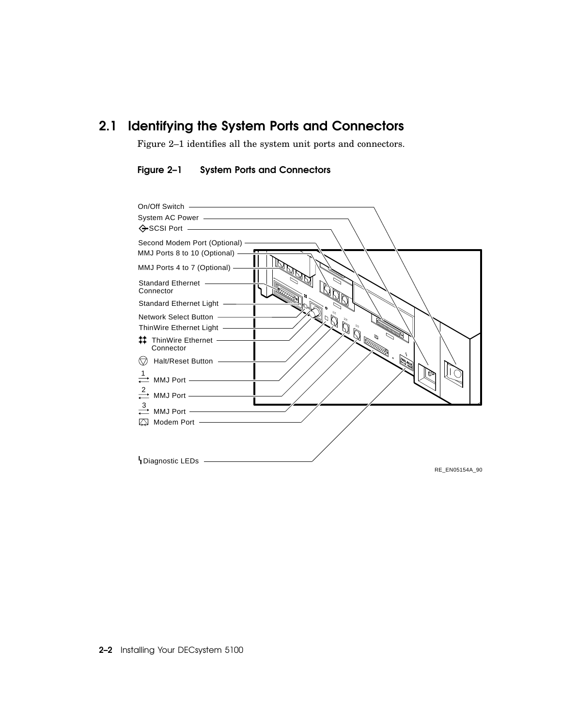### 2.1 Identifying the System Ports and Connectors

Figure 2–1 identifies all the system unit ports and connectors.

Figure 2–1 System Ports and Connectors

| On/Off Switch ————————————————————                                                                                                                                                                                                                                                                                                                                                       |
|------------------------------------------------------------------------------------------------------------------------------------------------------------------------------------------------------------------------------------------------------------------------------------------------------------------------------------------------------------------------------------------|
|                                                                                                                                                                                                                                                                                                                                                                                          |
|                                                                                                                                                                                                                                                                                                                                                                                          |
|                                                                                                                                                                                                                                                                                                                                                                                          |
| MMJ Ports 8 to 10 (Optional) -                                                                                                                                                                                                                                                                                                                                                           |
| MMJ Ports 4 to 7 (Optional) -                                                                                                                                                                                                                                                                                                                                                            |
| Standard Ethernet<br>Connector                                                                                                                                                                                                                                                                                                                                                           |
| Standard Ethernet Light -                                                                                                                                                                                                                                                                                                                                                                |
| Network Select Button -                                                                                                                                                                                                                                                                                                                                                                  |
| ThinWire Ethernet Light -                                                                                                                                                                                                                                                                                                                                                                |
| <b>ADESERVANT</b><br># ThinWire Ethernet ––––––<br>Connector                                                                                                                                                                                                                                                                                                                             |
| $\begin{picture}(120,111)(-0,0) \put(0,0){\line(1,0){15}} \put(15,0){\line(1,0){15}} \put(15,0){\line(1,0){15}} \put(15,0){\line(1,0){15}} \put(15,0){\line(1,0){15}} \put(15,0){\line(1,0){15}} \put(15,0){\line(1,0){15}} \put(15,0){\line(1,0){15}} \put(15,0){\line(1,0){15}} \put(15,0){\line(1,0){15}} \put(15,0){\line(1,0){15}} \put(15$<br>$\textcircled{}$ Halt/Reset Button - |
| $\rightleftarrows$ MMJ Port —————                                                                                                                                                                                                                                                                                                                                                        |
| $\stackrel{2}{\rightleftharpoons}$ MMJ Port ——————                                                                                                                                                                                                                                                                                                                                       |
| $\stackrel{3}{\longrightarrow}$ MMJ Port —                                                                                                                                                                                                                                                                                                                                               |
|                                                                                                                                                                                                                                                                                                                                                                                          |
|                                                                                                                                                                                                                                                                                                                                                                                          |
|                                                                                                                                                                                                                                                                                                                                                                                          |
| Diagnostic LEDs -                                                                                                                                                                                                                                                                                                                                                                        |
| RE EN05154A 90                                                                                                                                                                                                                                                                                                                                                                           |

2–2 Installing Your DECsystem 5100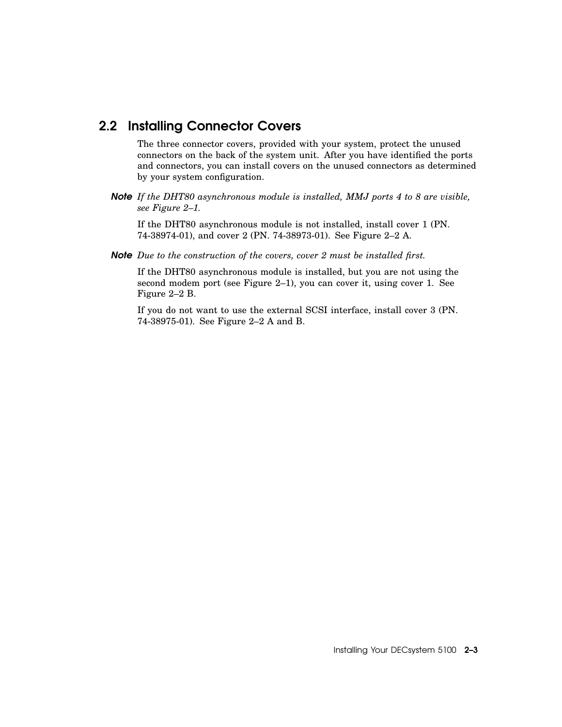#### 2.2 Installing Connector Covers

The three connector covers, provided with your system, protect the unused connectors on the back of the system unit. After you have identified the ports and connectors, you can install covers on the unused connectors as determined by your system configuration.

*Note If the DHT80 asynchronous module is installed, MMJ ports 4 to 8 are visible, see Figure 2–1.*

If the DHT80 asynchronous module is not installed, install cover 1 (PN. 74-38974-01), and cover 2 (PN. 74-38973-01). See Figure 2–2 A.

*Note Due to the construction of the covers, cover 2 must be installed first.*

If the DHT80 asynchronous module is installed, but you are not using the second modem port (see Figure 2–1), you can cover it, using cover 1. See Figure 2–2 B.

If you do not want to use the external SCSI interface, install cover 3 (PN. 74-38975-01). See Figure 2–2 A and B.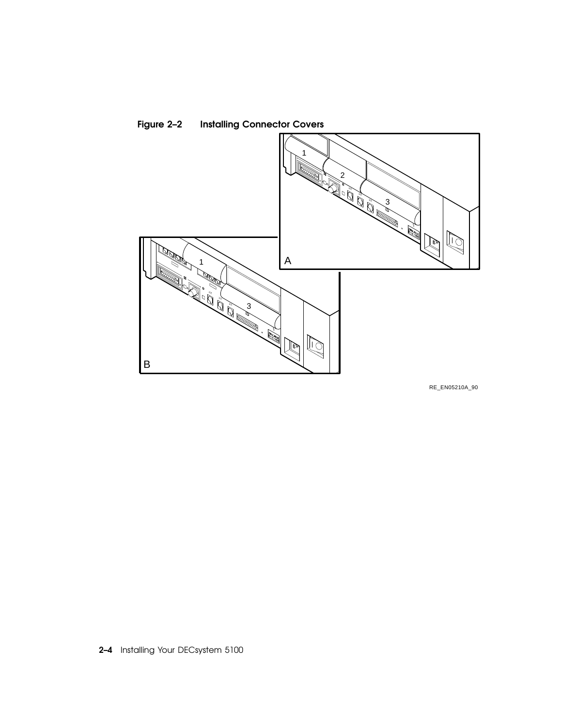

Figure 2–2 Installing Connector Covers

RE\_EN05210A\_90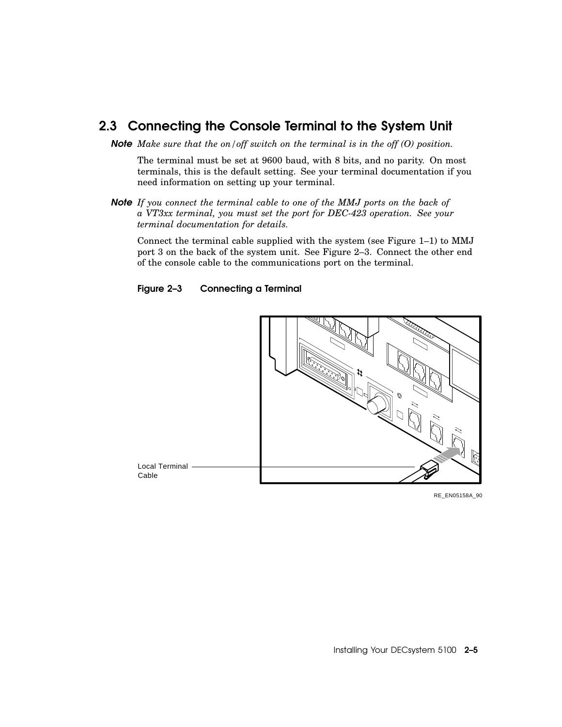#### 2.3 Connecting the Console Terminal to the System Unit

*Note Make sure that the on/off switch on the terminal is in the off (O) position.*

The terminal must be set at 9600 baud, with 8 bits, and no parity. On most terminals, this is the default setting. See your terminal documentation if you need information on setting up your terminal.

*Note If you connect the terminal cable to one of the MMJ ports on the back of a VT3xx terminal, you must set the port for DEC-423 operation. See your terminal documentation for details.*

Connect the terminal cable supplied with the system (see Figure 1–1) to MMJ port 3 on the back of the system unit. See Figure 2–3. Connect the other end of the console cable to the communications port on the terminal.





RE\_EN05158A\_90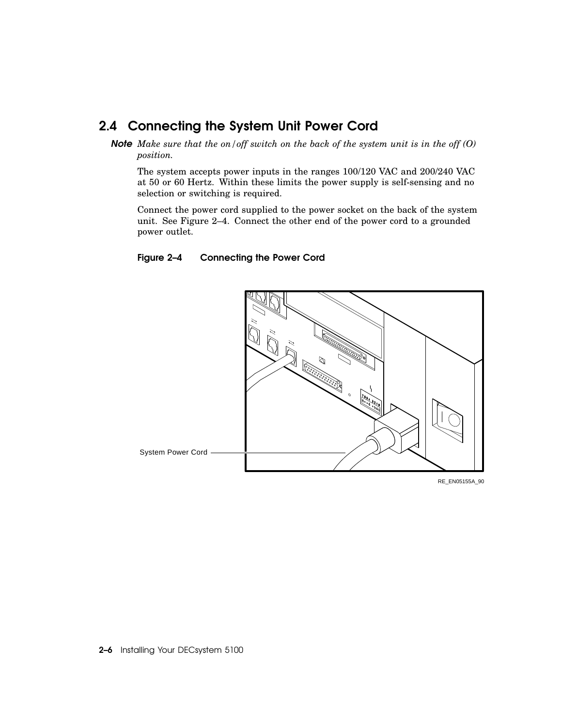#### 2.4 Connecting the System Unit Power Cord

*Note Make sure that the on/off switch on the back of the system unit is in the off (O) position.*

The system accepts power inputs in the ranges 100/120 VAC and 200/240 VAC at 50 or 60 Hertz. Within these limits the power supply is self-sensing and no selection or switching is required.

Connect the power cord supplied to the power socket on the back of the system unit. See Figure 2–4. Connect the other end of the power cord to a grounded power outlet.

#### Figure 2–4 Connecting the Power Cord



RE\_EN05155A\_90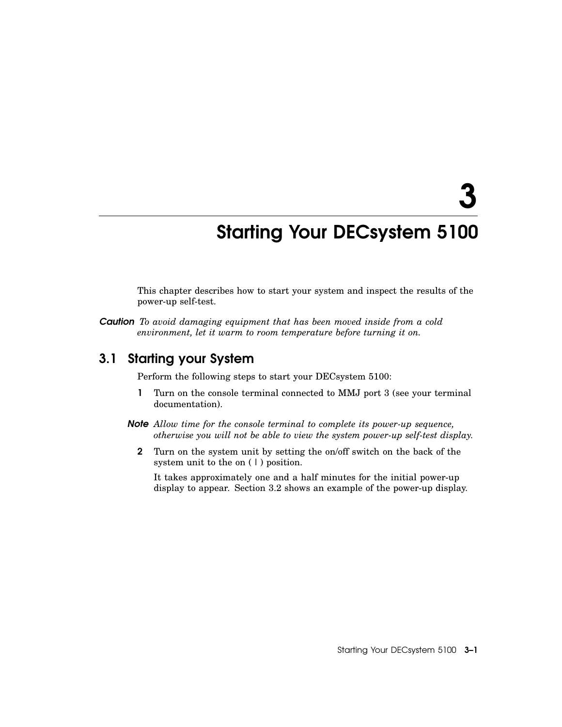3

## Starting Your DECsystem 5100

This chapter describes how to start your system and inspect the results of the power-up self-test.

*Caution To avoid damaging equipment that has been moved inside from a cold environment, let it warm to room temperature before turning it on.*

#### 3.1 Starting your System

Perform the following steps to start your DECsystem 5100:

- 1 Turn on the console terminal connected to MMJ port 3 (see your terminal documentation).
- *Note Allow time for the console terminal to complete its power-up sequence, otherwise you will not be able to view the system power-up self-test display.*
	- 2 Turn on the system unit by setting the on/off switch on the back of the system unit to the on  $(1)$  position.

It takes approximately one and a half minutes for the initial power-up display to appear. Section 3.2 shows an example of the power-up display.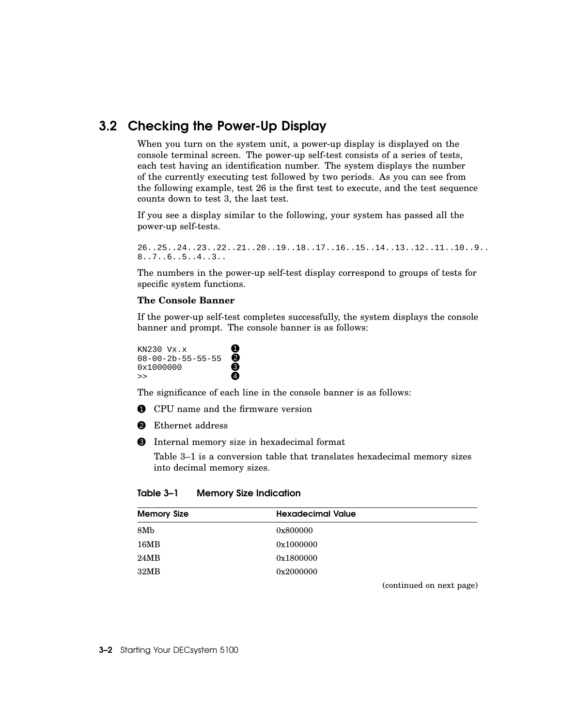#### 3.2 Checking the Power-Up Display

When you turn on the system unit, a power-up display is displayed on the console terminal screen. The power-up self-test consists of a series of tests, each test having an identification number. The system displays the number of the currently executing test followed by two periods. As you can see from the following example, test 26 is the first test to execute, and the test sequence counts down to test 3, the last test.

If you see a display similar to the following, your system has passed all the power-up self-tests.

```
26..25..24..23..22..21..20..19..18..17..16..15..14..13..12..11..10..9..
8..7..6..5..4..3..
```
The numbers in the power-up self-test display correspond to groups of tests for specific system functions.

#### **The Console Banner**

If the power-up self-test completes successfully, the system displays the console banner and prompt. The console banner is as follows:

KN230  $Vx.x$  1  $08-00-2b-55-55-55$  $0 \times 1000000$   $\bullet$  $\rightarrow$  4

The significance of each line in the console banner is as follows:

- **1** CPU name and the firmware version
- **2** Ethernet address
- 3 Internal memory size in hexadecimal format

Table 3–1 is a conversion table that translates hexadecimal memory sizes into decimal memory sizes.

Table 3–1 Memory Size Indication

| <b>Memory Size</b> | <b>Hexadecimal Value</b> |
|--------------------|--------------------------|
| 8Mb                | 0x800000                 |
| 16MB               | 0x1000000                |
| 24MB               | 0x1800000                |
| 32MB               | 0x2000000                |

(continued on next page)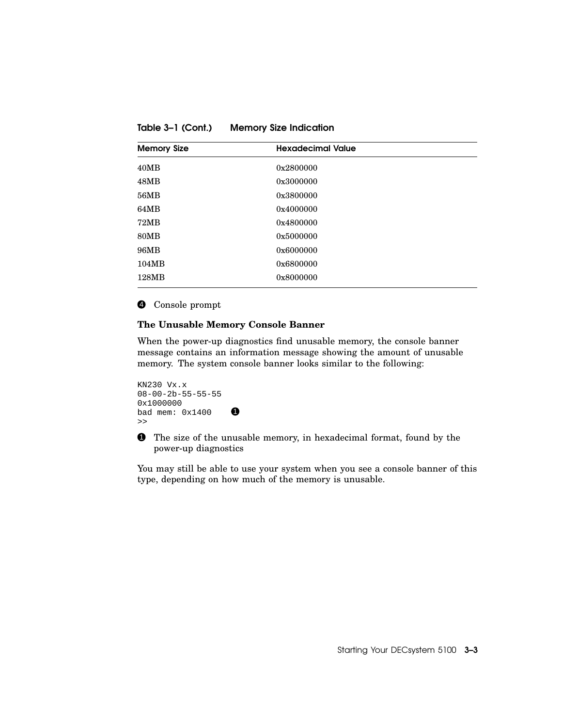Table 3–1 (Cont.) Memory Size Indication

| <b>Memory Size</b> | <b>Hexadecimal Value</b> |
|--------------------|--------------------------|
| 40MB               | 0x2800000                |
| 48MB               | 0x3000000                |
| 56MB               | 0x3800000                |
| 64MB               | 0x4000000                |
| 72MB               | 0x4800000                |
| <b>80MB</b>        | 0x5000000                |
| 96MB               | 0x6000000                |
| 104MB              | 0x6800000                |
| 128MB              | 0x8000000                |

#### 4 Console prompt

#### **The Unusable Memory Console Banner**

When the power-up diagnostics find unusable memory, the console banner message contains an information message showing the amount of unusable memory. The system console banner looks similar to the following:

```
KN230 Vx.x
08-00-2b-55-55-55
0x1000000
bad mem: 0x1400>>
```
**1** The size of the unusable memory, in hexadecimal format, found by the power-up diagnostics

You may still be able to use your system when you see a console banner of this type, depending on how much of the memory is unusable.

Starting Your DECsystem 5100 3–3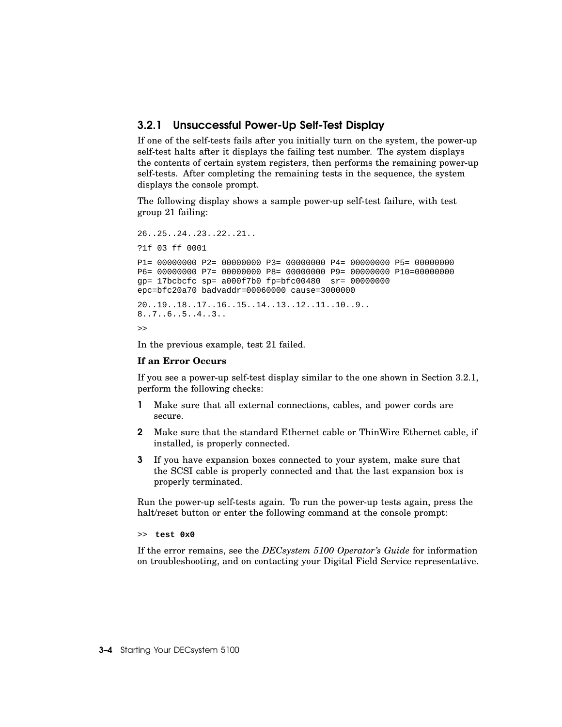#### 3.2.1 Unsuccessful Power-Up Self-Test Display

If one of the self-tests fails after you initially turn on the system, the power-up self-test halts after it displays the failing test number. The system displays the contents of certain system registers, then performs the remaining power-up self-tests. After completing the remaining tests in the sequence, the system displays the console prompt.

The following display shows a sample power-up self-test failure, with test group 21 failing:

26..25..24..23..22..21.. ?1f 03 ff 0001 P1= 00000000 P2= 00000000 P3= 00000000 P4= 00000000 P5= 00000000 P6= 00000000 P7= 00000000 P8= 00000000 P9= 00000000 P10=00000000 gp= 17bcbcfc sp= a000f7b0 fp=bfc00480 sr= 00000000 epc=bfc20a70 badvaddr=00060000 cause=3000000 20..19..18..17..16..15..14..13..12..11..10..9.. 8..7..6..5..4..3..  $\sim$ 

In the previous example, test 21 failed.

#### **If an Error Occurs**

If you see a power-up self-test display similar to the one shown in Section 3.2.1, perform the following checks:

- 1 Make sure that all external connections, cables, and power cords are secure.
- 2 Make sure that the standard Ethernet cable or ThinWire Ethernet cable, if installed, is properly connected.
- 3 If you have expansion boxes connected to your system, make sure that the SCSI cable is properly connected and that the last expansion box is properly terminated.

Run the power-up self-tests again. To run the power-up tests again, press the halt/reset button or enter the following command at the console prompt:

>> **test 0x0**

If the error remains, see the *DECsystem 5100 Operator's Guide* for information on troubleshooting, and on contacting your Digital Field Service representative.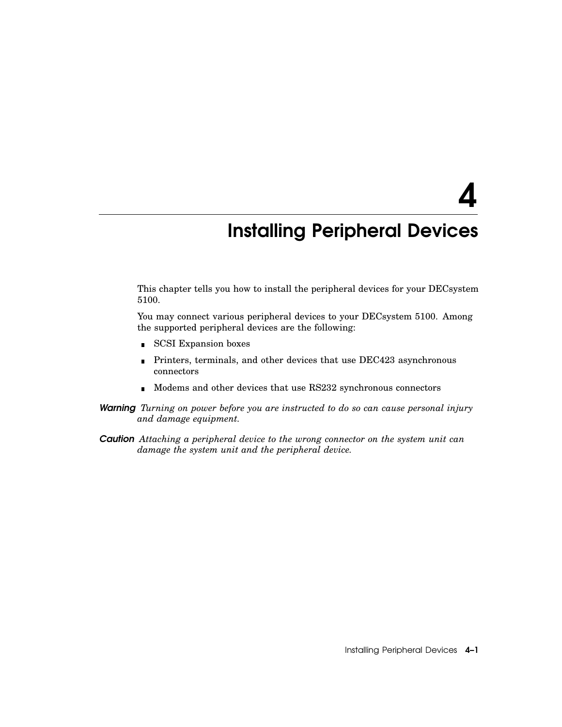4

## Installing Peripheral Devices

This chapter tells you how to install the peripheral devices for your DECsystem 5100.

You may connect various peripheral devices to your DECsystem 5100. Among the supported peripheral devices are the following:

- **SCSI Expansion boxes**
- Printers, terminals, and other devices that use DEC423 asynchronous  $\blacksquare$ connectors
- Modems and other devices that use RS232 synchronous connectors
- *Warning Turning on power before you are instructed to do so can cause personal injury and damage equipment.*
- *Caution Attaching a peripheral device to the wrong connector on the system unit can damage the system unit and the peripheral device.*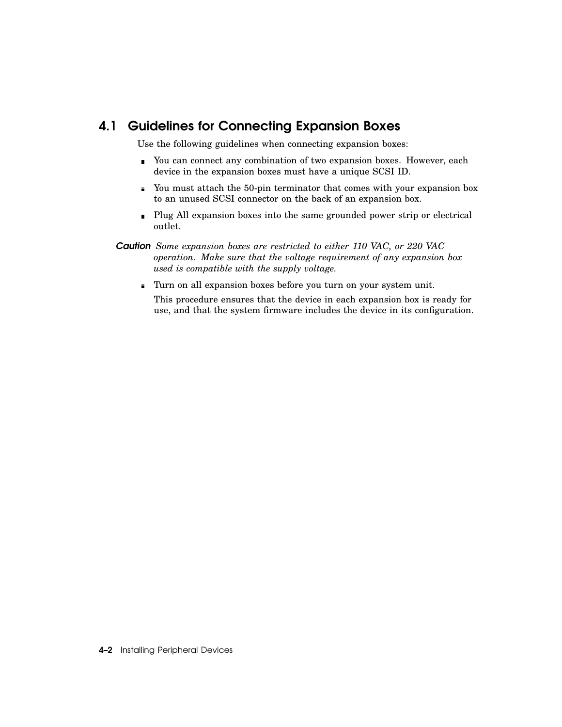#### 4.1 Guidelines for Connecting Expansion Boxes

Use the following guidelines when connecting expansion boxes:

- You can connect any combination of two expansion boxes. However, each device in the expansion boxes must have a unique SCSI ID.
- You must attach the 50-pin terminator that comes with your expansion box to an unused SCSI connector on the back of an expansion box.
- Plug All expansion boxes into the same grounded power strip or electrical outlet.
- *Caution Some expansion boxes are restricted to either 110 VAC, or 220 VAC operation. Make sure that the voltage requirement of any expansion box used is compatible with the supply voltage.*
	- Turn on all expansion boxes before you turn on your system unit.
		- This procedure ensures that the device in each expansion box is ready for use, and that the system firmware includes the device in its configuration.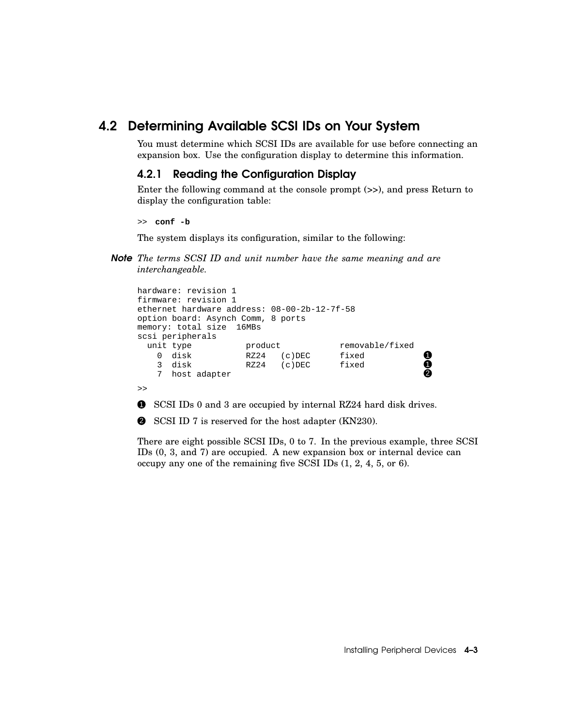#### 4.2 Determining Available SCSI IDs on Your System

You must determine which SCSI IDs are available for use before connecting an expansion box. Use the configuration display to determine this information.

#### 4.2.1 Reading the Configuration Display

Enter the following command at the console prompt (>>), and press Return to display the configuration table:

>> **conf -b**

The system displays its configuration, similar to the following:

*Note The terms SCSI ID and unit number have the same meaning and are interchangeable.*

```
hardware: revision 1
firmware: revision 1
ethernet hardware address: 08-00-2b-12-7f-58
option board: Asynch Comm, 8 ports
memory: total size 16MBs
scsi peripherals
 unit type product product removable/fixed
   0 disk RZ24 (c)DEC fixed 1<br>3 disk RZ24 (c)DEC fixed 1
   3 disk RZ24 (c)DEC fixed 1<br>7 host_adapter
   7 host adapter
>>
```
**1** SCSI IDs 0 and 3 are occupied by internal RZ24 hard disk drives.

2 SCSI ID 7 is reserved for the host adapter (KN230).

There are eight possible SCSI IDs, 0 to 7. In the previous example, three SCSI IDs (0, 3, and 7) are occupied. A new expansion box or internal device can occupy any one of the remaining five SCSI IDs (1, 2, 4, 5, or 6).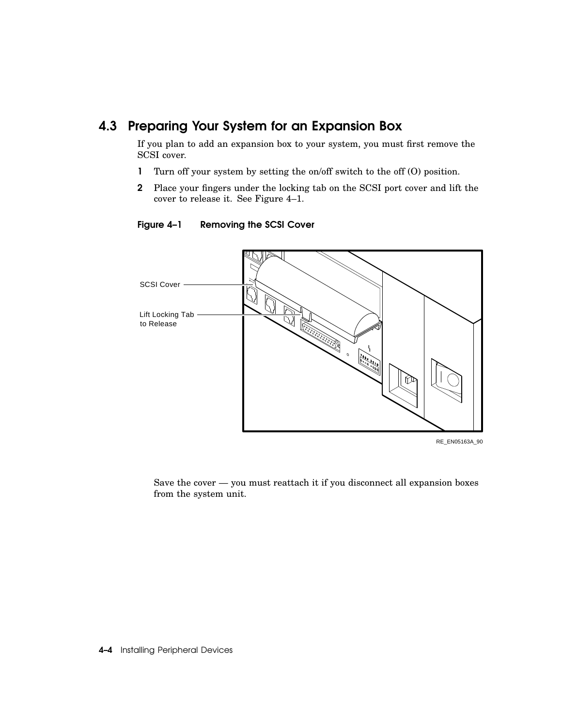#### 4.3 Preparing Your System for an Expansion Box

If you plan to add an expansion box to your system, you must first remove the SCSI cover.

- 1 Turn off your system by setting the on/off switch to the off (O) position.
- 2 Place your fingers under the locking tab on the SCSI port cover and lift the cover to release it. See Figure 4–1.



#### Figure 4–1 Removing the SCSI Cover

RE\_EN05163A\_90

Save the cover — you must reattach it if you disconnect all expansion boxes from the system unit.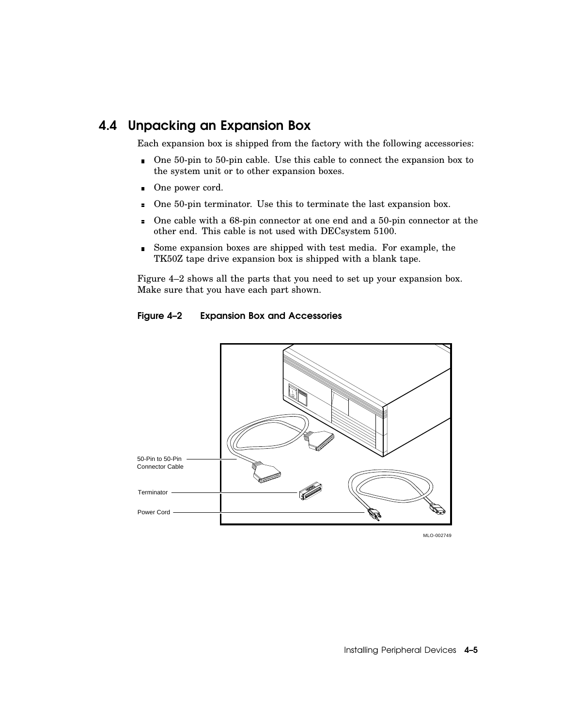#### 4.4 Unpacking an Expansion Box

Each expansion box is shipped from the factory with the following accessories:

- One 50-pin to 50-pin cable. Use this cable to connect the expansion box to the system unit or to other expansion boxes.
- One power cord.
- One 50-pin terminator. Use this to terminate the last expansion box.  $\blacksquare$
- One cable with a 68-pin connector at one end and a 50-pin connector at the  $\blacksquare$ other end. This cable is not used with DECsystem 5100.
- Some expansion boxes are shipped with test media. For example, the TK50Z tape drive expansion box is shipped with a blank tape.

Figure 4–2 shows all the parts that you need to set up your expansion box. Make sure that you have each part shown.





MLO-002749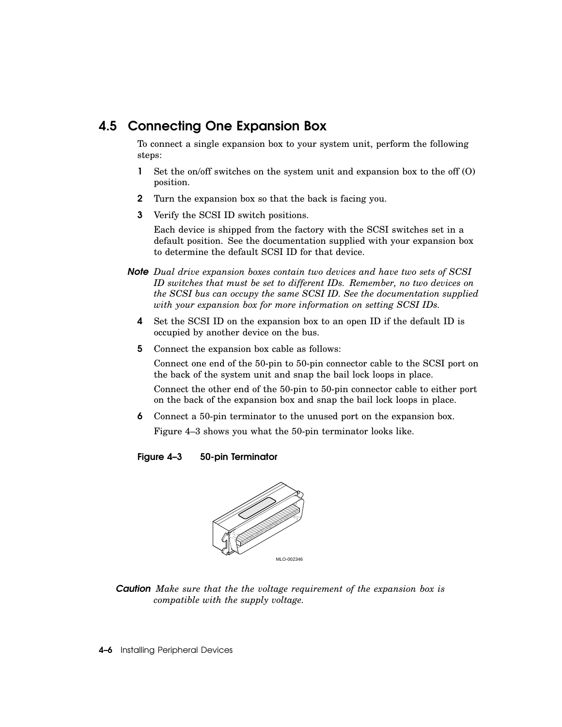#### 4.5 Connecting One Expansion Box

To connect a single expansion box to your system unit, perform the following steps:

- 1 Set the on/off switches on the system unit and expansion box to the off (O) position.
- 2 Turn the expansion box so that the back is facing you.
- 3 Verify the SCSI ID switch positions.

Each device is shipped from the factory with the SCSI switches set in a default position. See the documentation supplied with your expansion box to determine the default SCSI ID for that device.

- *Note Dual drive expansion boxes contain two devices and have two sets of SCSI ID switches that must be set to different IDs. Remember, no two devices on the SCSI bus can occupy the same SCSI ID. See the documentation supplied with your expansion box for more information on setting SCSI IDs.*
	- 4 Set the SCSI ID on the expansion box to an open ID if the default ID is occupied by another device on the bus.
	- 5 Connect the expansion box cable as follows:

Connect one end of the 50-pin to 50-pin connector cable to the SCSI port on the back of the system unit and snap the bail lock loops in place.

Connect the other end of the 50-pin to 50-pin connector cable to either port on the back of the expansion box and snap the bail lock loops in place.

6 Connect a 50-pin terminator to the unused port on the expansion box.

Figure 4–3 shows you what the 50-pin terminator looks like.

#### Figure 4–3 50-pin Terminator



*Caution Make sure that the the voltage requirement of the expansion box is compatible with the supply voltage.*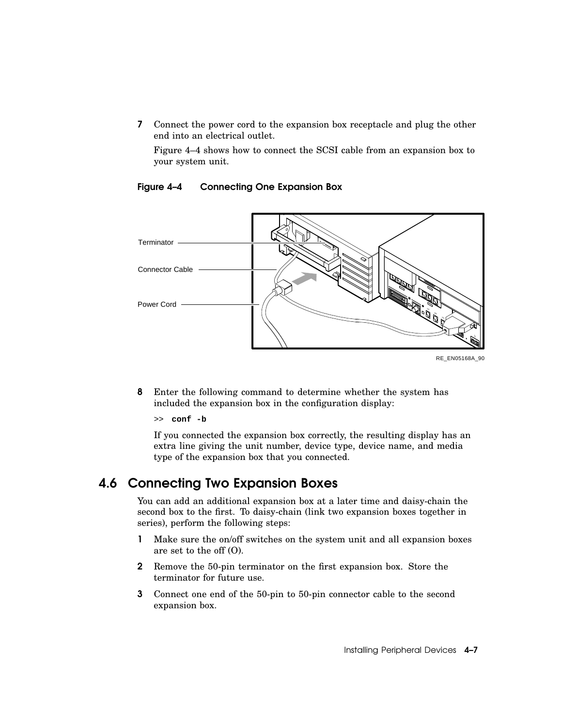7 Connect the power cord to the expansion box receptacle and plug the other end into an electrical outlet.

Figure 4–4 shows how to connect the SCSI cable from an expansion box to your system unit.



#### Figure 4–4 Connecting One Expansion Box

8 Enter the following command to determine whether the system has included the expansion box in the configuration display:

>> **conf -b**

If you connected the expansion box correctly, the resulting display has an extra line giving the unit number, device type, device name, and media type of the expansion box that you connected.

#### 4.6 Connecting Two Expansion Boxes

You can add an additional expansion box at a later time and daisy-chain the second box to the first. To daisy-chain (link two expansion boxes together in series), perform the following steps:

- 1 Make sure the on/off switches on the system unit and all expansion boxes are set to the off (O).
- 2 Remove the 50-pin terminator on the first expansion box. Store the terminator for future use.
- 3 Connect one end of the 50-pin to 50-pin connector cable to the second expansion box.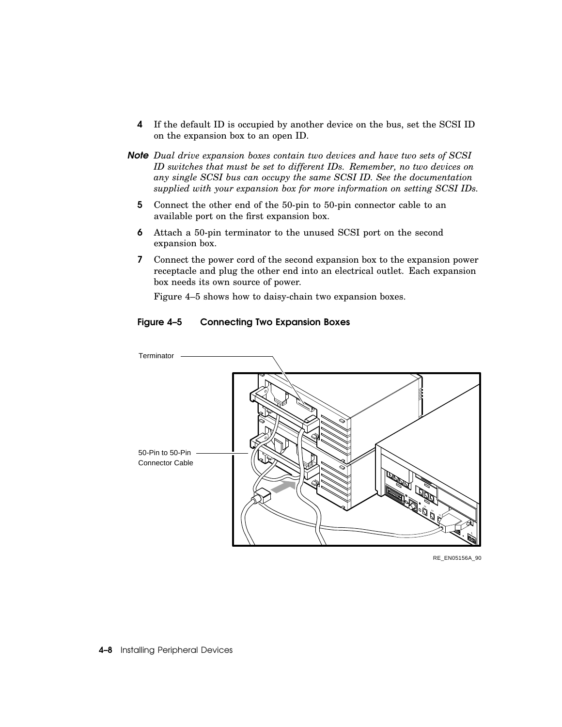- 4 If the default ID is occupied by another device on the bus, set the SCSI ID on the expansion box to an open ID.
- *Note Dual drive expansion boxes contain two devices and have two sets of SCSI ID switches that must be set to different IDs. Remember, no two devices on any single SCSI bus can occupy the same SCSI ID. See the documentation supplied with your expansion box for more information on setting SCSI IDs.*
	- 5 Connect the other end of the 50-pin to 50-pin connector cable to an available port on the first expansion box.
	- 6 Attach a 50-pin terminator to the unused SCSI port on the second expansion box.
	- 7 Connect the power cord of the second expansion box to the expansion power receptacle and plug the other end into an electrical outlet. Each expansion box needs its own source of power.

Figure 4–5 shows how to daisy-chain two expansion boxes.



#### Figure 4–5 Connecting Two Expansion Boxes

RE\_EN05156A\_90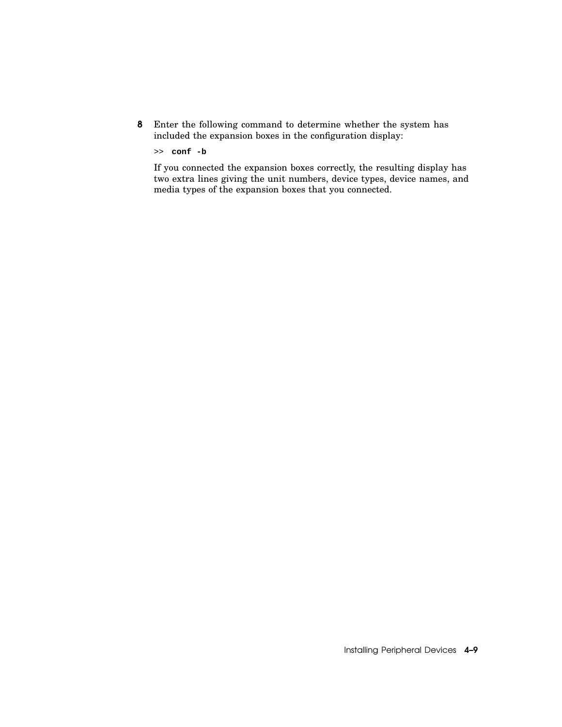8 Enter the following command to determine whether the system has included the expansion boxes in the configuration display:

>> **conf -b**

If you connected the expansion boxes correctly, the resulting display has two extra lines giving the unit numbers, device types, device names, and media types of the expansion boxes that you connected.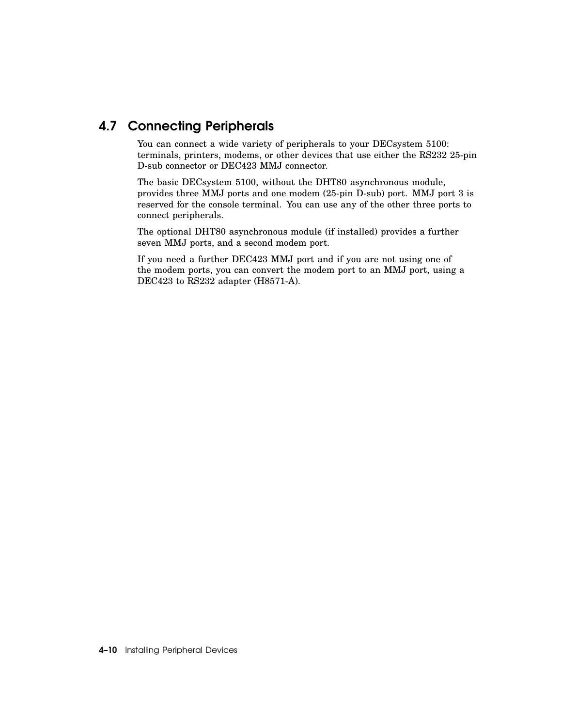#### 4.7 Connecting Peripherals

You can connect a wide variety of peripherals to your DECsystem 5100: terminals, printers, modems, or other devices that use either the RS232 25-pin D-sub connector or DEC423 MMJ connector.

The basic DECsystem 5100, without the DHT80 asynchronous module, provides three MMJ ports and one modem (25-pin D-sub) port. MMJ port 3 is reserved for the console terminal. You can use any of the other three ports to connect peripherals.

The optional DHT80 asynchronous module (if installed) provides a further seven MMJ ports, and a second modem port.

If you need a further DEC423 MMJ port and if you are not using one of the modem ports, you can convert the modem port to an MMJ port, using a DEC423 to RS232 adapter (H8571-A).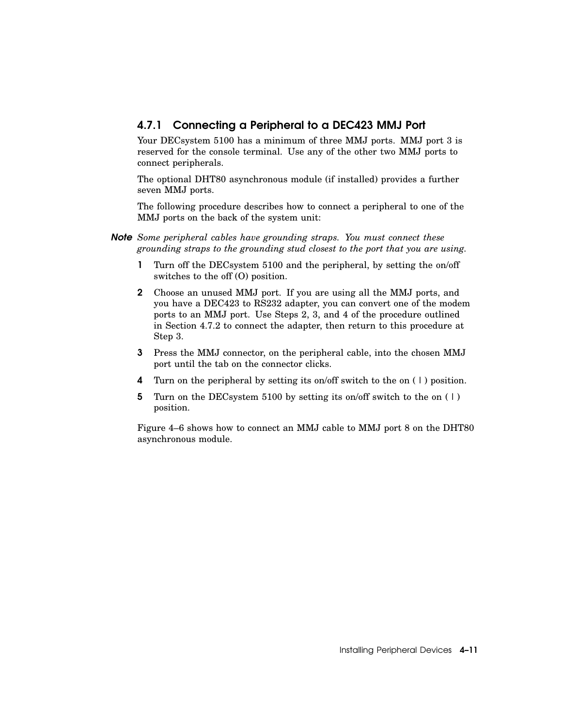#### 4.7.1 Connecting a Peripheral to a DEC423 MMJ Port

Your DECsystem 5100 has a minimum of three MMJ ports. MMJ port 3 is reserved for the console terminal. Use any of the other two MMJ ports to connect peripherals.

The optional DHT80 asynchronous module (if installed) provides a further seven MMJ ports.

The following procedure describes how to connect a peripheral to one of the MMJ ports on the back of the system unit:

*Note Some peripheral cables have grounding straps. You must connect these grounding straps to the grounding stud closest to the port that you are using.*

- 1 Turn off the DECsystem 5100 and the peripheral, by setting the on/off switches to the off (O) position.
- 2 Choose an unused MMJ port. If you are using all the MMJ ports, and you have a DEC423 to RS232 adapter, you can convert one of the modem ports to an MMJ port. Use Steps 2, 3, and 4 of the procedure outlined in Section 4.7.2 to connect the adapter, then return to this procedure at Step 3.
- 3 Press the MMJ connector, on the peripheral cable, into the chosen MMJ port until the tab on the connector clicks.
- 4 Turn on the peripheral by setting its on/off switch to the on ( | ) position.
- 5 Turn on the DECsystem 5100 by setting its on/off switch to the on ( | ) position.

Figure 4–6 shows how to connect an MMJ cable to MMJ port 8 on the DHT80 asynchronous module.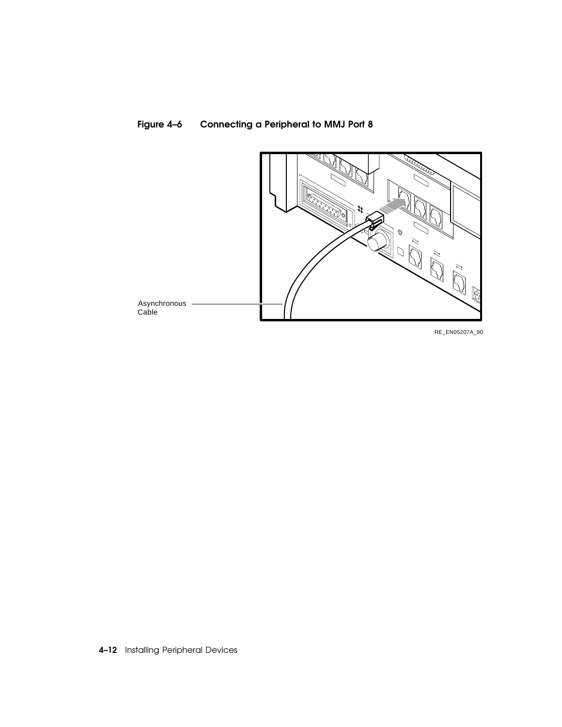



RE\_EN05207A\_90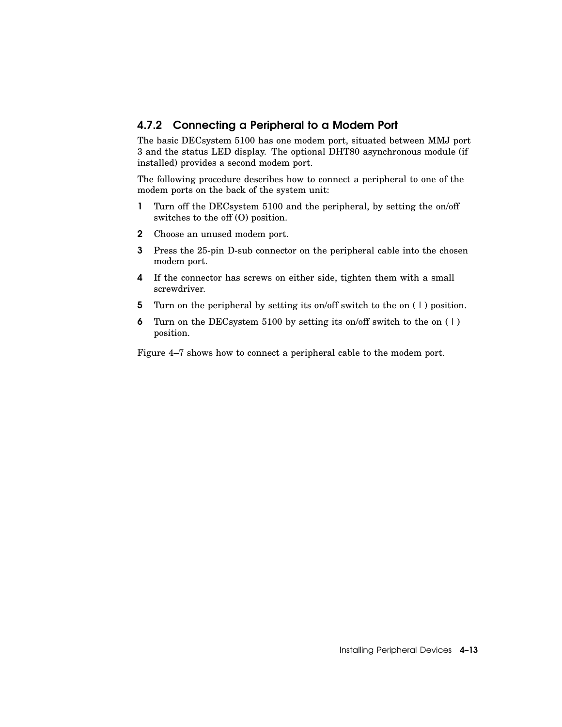#### 4.7.2 Connecting a Peripheral to a Modem Port

The basic DECsystem 5100 has one modem port, situated between MMJ port 3 and the status LED display. The optional DHT80 asynchronous module (if installed) provides a second modem port.

The following procedure describes how to connect a peripheral to one of the modem ports on the back of the system unit:

- 1 Turn off the DECsystem 5100 and the peripheral, by setting the on/off switches to the off (O) position.
- 2 Choose an unused modem port.
- 3 Press the 25-pin D-sub connector on the peripheral cable into the chosen modem port.
- 4 If the connector has screws on either side, tighten them with a small screwdriver.
- 5 Turn on the peripheral by setting its on/off switch to the on ( | ) position.
- 6 Turn on the DECsystem 5100 by setting its on/off switch to the on  $(1)$ position.

Figure 4–7 shows how to connect a peripheral cable to the modem port.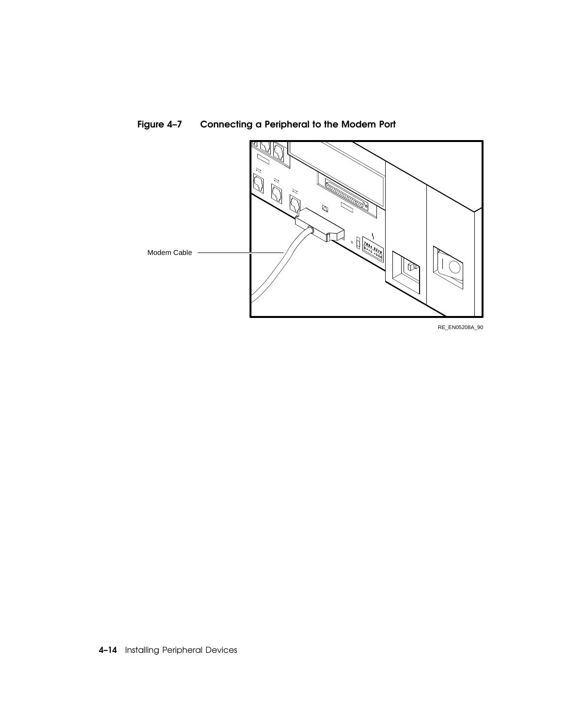

Figure 4–7 Connecting a Peripheral to the Modem Port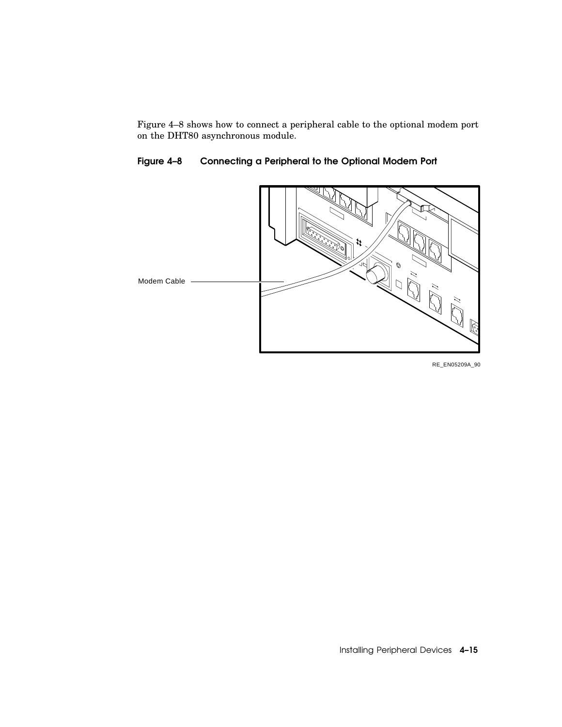Figure 4–8 shows how to connect a peripheral cable to the optional modem port on the DHT80 asynchronous module.

Figure 4–8 Connecting a Peripheral to the Optional Modem Port



RE\_EN05209A\_90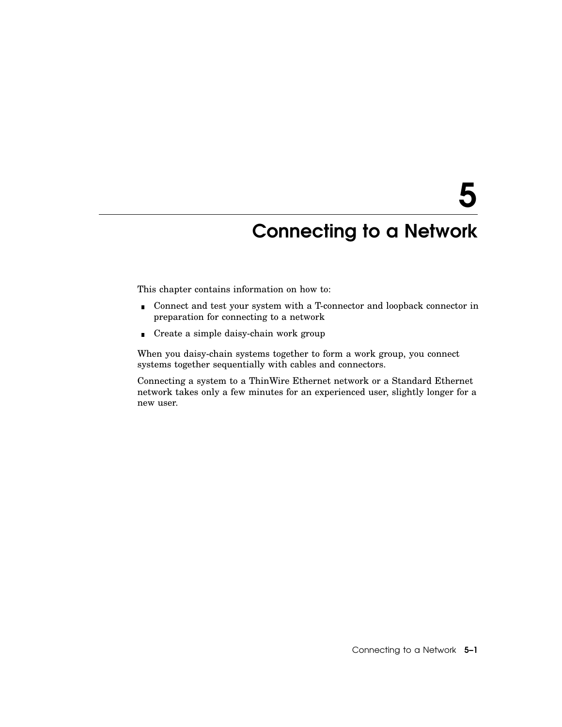## Connecting to a Network

This chapter contains information on how to:

- Connect and test your system with a T-connector and loopback connector in preparation for connecting to a network
- Create a simple daisy-chain work group

When you daisy-chain systems together to form a work group, you connect systems together sequentially with cables and connectors.

Connecting a system to a ThinWire Ethernet network or a Standard Ethernet network takes only a few minutes for an experienced user, slightly longer for a new user.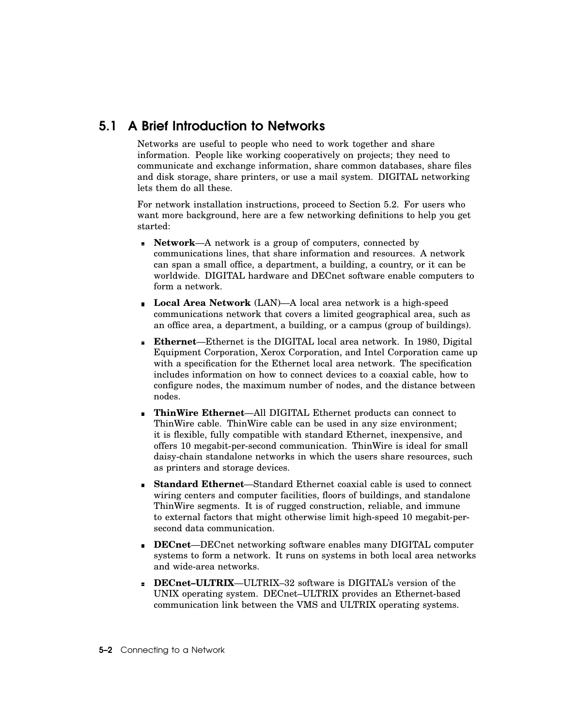#### 5.1 A Brief Introduction to Networks

Networks are useful to people who need to work together and share information. People like working cooperatively on projects; they need to communicate and exchange information, share common databases, share files and disk storage, share printers, or use a mail system. DIGITAL networking lets them do all these.

For network installation instructions, proceed to Section 5.2. For users who want more background, here are a few networking definitions to help you get started:

- **Network**—A network is a group of computers, connected by  $\blacksquare$ communications lines, that share information and resources. A network can span a small office, a department, a building, a country, or it can be worldwide. DIGITAL hardware and DECnet software enable computers to form a network.
- **Local Area Network** (LAN)—A local area network is a high-speed communications network that covers a limited geographical area, such as an office area, a department, a building, or a campus (group of buildings).
- **Ethernet**—Ethernet is the DIGITAL local area network. In 1980, Digital Equipment Corporation, Xerox Corporation, and Intel Corporation came up with a specification for the Ethernet local area network. The specification includes information on how to connect devices to a coaxial cable, how to configure nodes, the maximum number of nodes, and the distance between nodes.
- **ThinWire Ethernet**—All DIGITAL Ethernet products can connect to ThinWire cable. ThinWire cable can be used in any size environment; it is flexible, fully compatible with standard Ethernet, inexpensive, and offers 10 megabit-per-second communication. ThinWire is ideal for small daisy-chain standalone networks in which the users share resources, such as printers and storage devices.
- **Standard Ethernet**—Standard Ethernet coaxial cable is used to connect wiring centers and computer facilities, floors of buildings, and standalone ThinWire segments. It is of rugged construction, reliable, and immune to external factors that might otherwise limit high-speed 10 megabit-persecond data communication.
- **DECnet**—DECnet networking software enables many DIGITAL computer systems to form a network. It runs on systems in both local area networks and wide-area networks.
- **DECnet–ULTRIX**—ULTRIX–32 software is DIGITAL's version of the UNIX operating system. DECnet–ULTRIX provides an Ethernet-based communication link between the VMS and ULTRIX operating systems.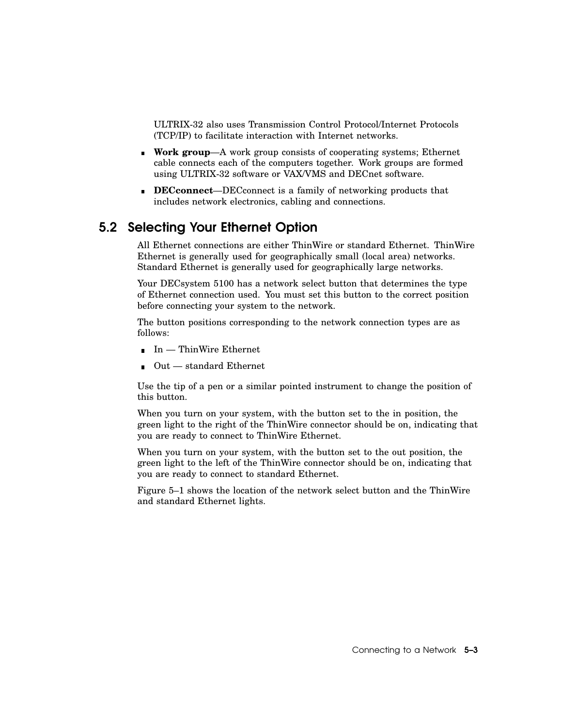ULTRIX-32 also uses Transmission Control Protocol/Internet Protocols (TCP/IP) to facilitate interaction with Internet networks.

- **Work group**—A work group consists of cooperating systems; Ethernet cable connects each of the computers together. Work groups are formed using ULTRIX-32 software or VAX/VMS and DECnet software.
- **DECconnect**—DECconnect is a family of networking products that includes network electronics, cabling and connections.

#### 5.2 Selecting Your Ethernet Option

All Ethernet connections are either ThinWire or standard Ethernet. ThinWire Ethernet is generally used for geographically small (local area) networks. Standard Ethernet is generally used for geographically large networks.

Your DECsystem 5100 has a network select button that determines the type of Ethernet connection used. You must set this button to the correct position before connecting your system to the network.

The button positions corresponding to the network connection types are as follows:

- $\blacksquare$  In ThinWire Ethernet
- Out standard Ethernet

Use the tip of a pen or a similar pointed instrument to change the position of this button.

When you turn on your system, with the button set to the in position, the green light to the right of the ThinWire connector should be on, indicating that you are ready to connect to ThinWire Ethernet.

When you turn on your system, with the button set to the out position, the green light to the left of the ThinWire connector should be on, indicating that you are ready to connect to standard Ethernet.

Figure 5–1 shows the location of the network select button and the ThinWire and standard Ethernet lights.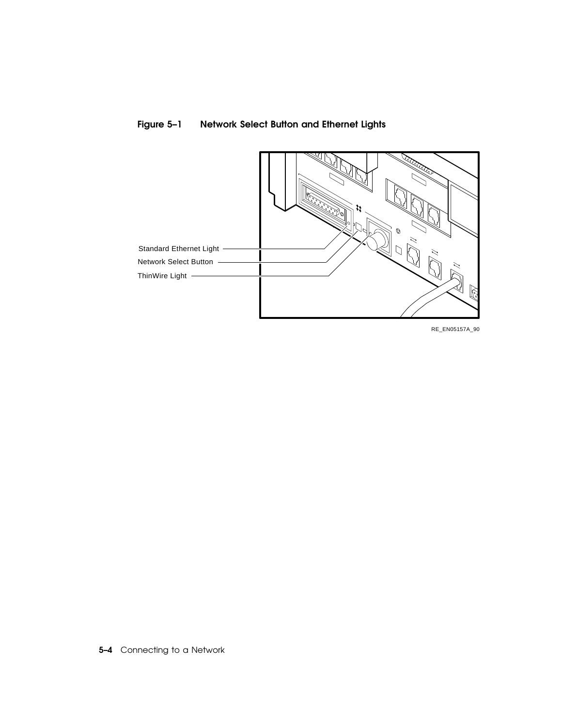

#### Figure 5–1 Network Select Button and Ethernet Lights

RE\_EN05157A\_90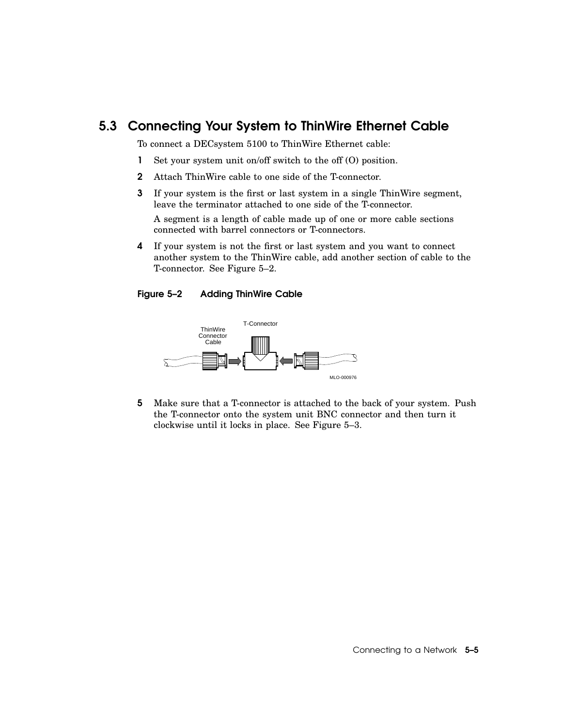#### 5.3 Connecting Your System to ThinWire Ethernet Cable

To connect a DECsystem 5100 to ThinWire Ethernet cable:

- 1 Set your system unit on/off switch to the off (O) position.
- 2 Attach ThinWire cable to one side of the T-connector.
- 3 If your system is the first or last system in a single ThinWire segment, leave the terminator attached to one side of the T-connector.

A segment is a length of cable made up of one or more cable sections connected with barrel connectors or T-connectors.

4 If your system is not the first or last system and you want to connect another system to the ThinWire cable, add another section of cable to the T-connector. See Figure 5–2.

#### Figure 5–2 Adding ThinWire Cable



5 Make sure that a T-connector is attached to the back of your system. Push the T-connector onto the system unit BNC connector and then turn it clockwise until it locks in place. See Figure 5–3.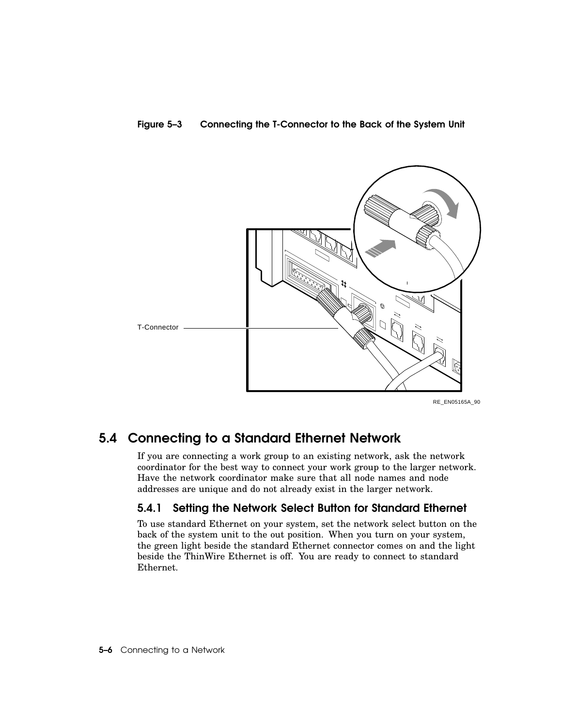



RE\_EN05165A\_90

#### 5.4 Connecting to a Standard Ethernet Network

If you are connecting a work group to an existing network, ask the network coordinator for the best way to connect your work group to the larger network. Have the network coordinator make sure that all node names and node addresses are unique and do not already exist in the larger network.

#### 5.4.1 Setting the Network Select Button for Standard Ethernet

To use standard Ethernet on your system, set the network select button on the back of the system unit to the out position. When you turn on your system, the green light beside the standard Ethernet connector comes on and the light beside the ThinWire Ethernet is off. You are ready to connect to standard Ethernet.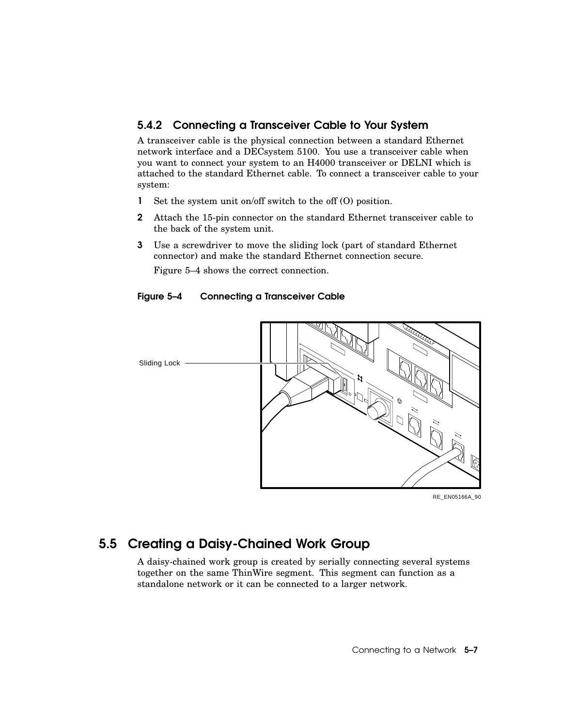#### 5.4.2 Connecting a Transceiver Cable to Your System

A transceiver cable is the physical connection between a standard Ethernet network interface and a DECsystem 5100. You use a transceiver cable when you want to connect your system to an H4000 transceiver or DELNI which is attached to the standard Ethernet cable. To connect a transceiver cable to your system:

- 1 Set the system unit on/off switch to the off (O) position.
- 2 Attach the 15-pin connector on the standard Ethernet transceiver cable to the back of the system unit.
- 3 Use a screwdriver to move the sliding lock (part of standard Ethernet connector) and make the standard Ethernet connection secure.

Figure 5–4 shows the correct connection.

#### Figure 5–4 Connecting a Transceiver Cable



RE\_EN05166A\_90

#### 5.5 Creating a Daisy-Chained Work Group

A daisy-chained work group is created by serially connecting several systems together on the same ThinWire segment. This segment can function as a standalone network or it can be connected to a larger network.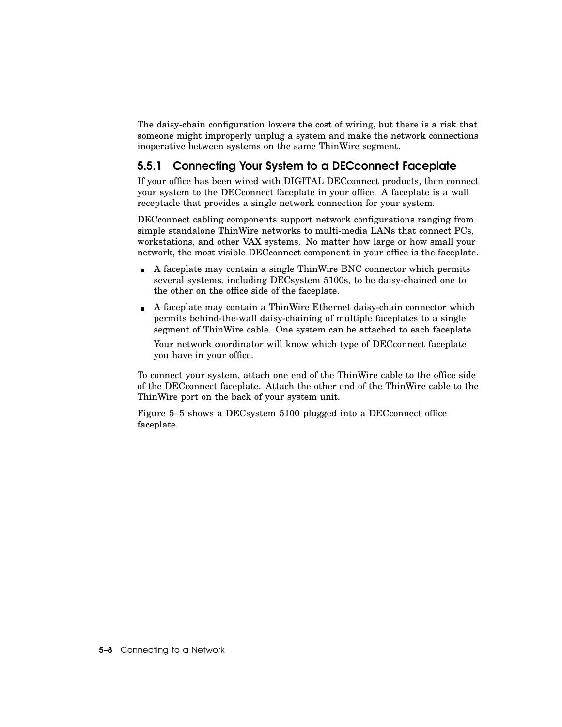The daisy-chain configuration lowers the cost of wiring, but there is a risk that someone might improperly unplug a system and make the network connections inoperative between systems on the same ThinWire segment.

#### 5.5.1 Connecting Your System to a DECconnect Faceplate

If your office has been wired with DIGITAL DECconnect products, then connect your system to the DECconnect faceplate in your office. A faceplate is a wall receptacle that provides a single network connection for your system.

DECconnect cabling components support network configurations ranging from simple standalone ThinWire networks to multi-media LANs that connect PCs, workstations, and other VAX systems. No matter how large or how small your network, the most visible DECconnect component in your office is the faceplate.

- A faceplate may contain a single ThinWire BNC connector which permits several systems, including DECsystem 5100s, to be daisy-chained one to the other on the office side of the faceplate.
- A faceplate may contain a ThinWire Ethernet daisy-chain connector which permits behind-the-wall daisy-chaining of multiple faceplates to a single segment of ThinWire cable. One system can be attached to each faceplate.

Your network coordinator will know which type of DECconnect faceplate you have in your office.

To connect your system, attach one end of the ThinWire cable to the office side of the DECconnect faceplate. Attach the other end of the ThinWire cable to the ThinWire port on the back of your system unit.

Figure 5–5 shows a DECsystem 5100 plugged into a DECconnect office faceplate.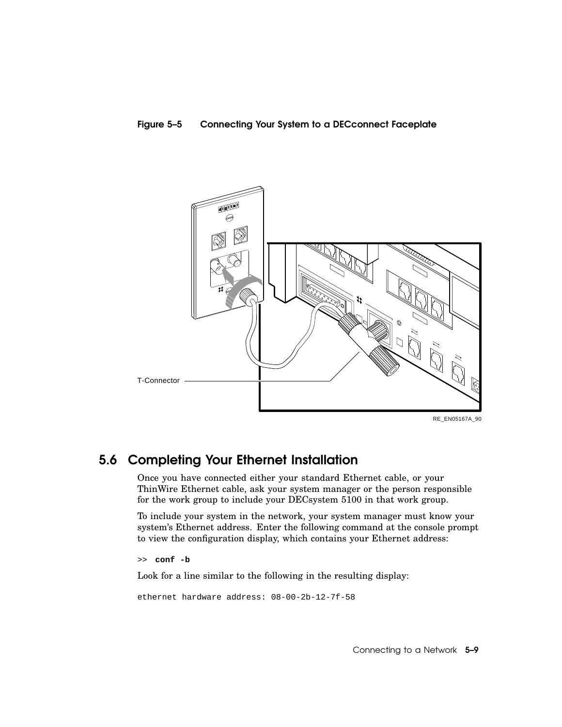#### Figure 5–5 Connecting Your System to a DECconnect Faceplate



#### 5.6 Completing Your Ethernet Installation

Once you have connected either your standard Ethernet cable, or your ThinWire Ethernet cable, ask your system manager or the person responsible for the work group to include your DECsystem 5100 in that work group.

To include your system in the network, your system manager must know your system's Ethernet address. Enter the following command at the console prompt to view the configuration display, which contains your Ethernet address:

>> **conf -b**

Look for a line similar to the following in the resulting display:

```
ethernet hardware address: 08-00-2b-12-7f-58
```
Connecting to a Network 5–9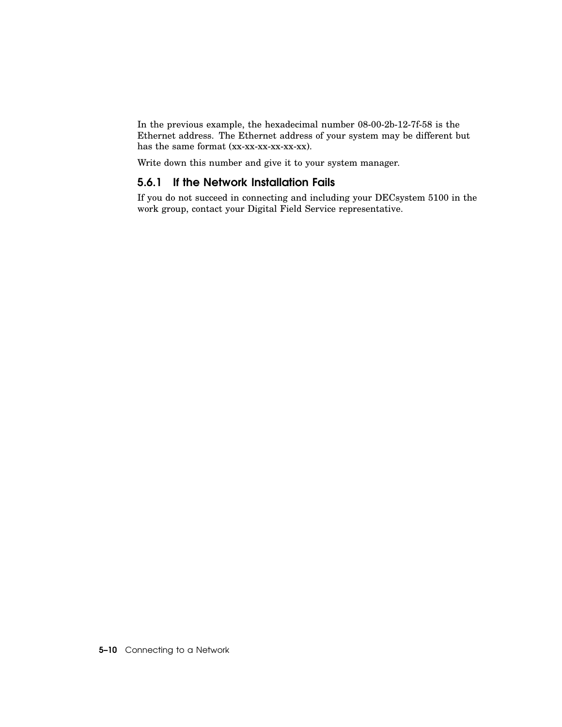In the previous example, the hexadecimal number 08-00-2b-12-7f-58 is the Ethernet address. The Ethernet address of your system may be different but has the same format (xx-xx-xx-xx-xx-xx).

Write down this number and give it to your system manager.

#### 5.6.1 If the Network Installation Fails

If you do not succeed in connecting and including your DECsystem 5100 in the work group, contact your Digital Field Service representative.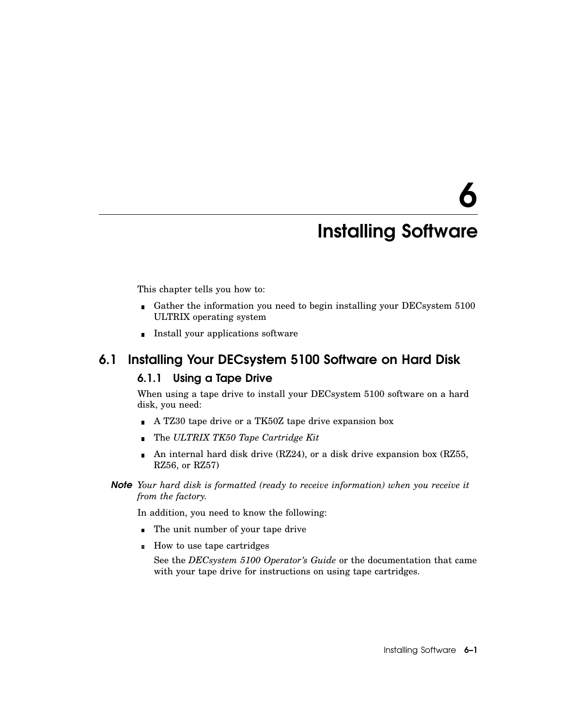# 6

## Installing Software

This chapter tells you how to:

- Gather the information you need to begin installing your DECsystem 5100 ULTRIX operating system
- **Install your applications software**

#### 6.1 Installing Your DECsystem 5100 Software on Hard Disk

#### 6.1.1 Using a Tape Drive

When using a tape drive to install your DECsystem 5100 software on a hard disk, you need:

- A TZ30 tape drive or a TK50Z tape drive expansion box
- The *ULTRIX TK50 Tape Cartridge Kit*
- An internal hard disk drive (RZ24), or a disk drive expansion box (RZ55,  $\blacksquare$ RZ56, or RZ57)
- *Note Your hard disk is formatted (ready to receive information) when you receive it from the factory.*

In addition, you need to know the following:

- The unit number of your tape drive
- How to use tape cartridges

See the *DECsystem 5100 Operator's Guide* or the documentation that came with your tape drive for instructions on using tape cartridges.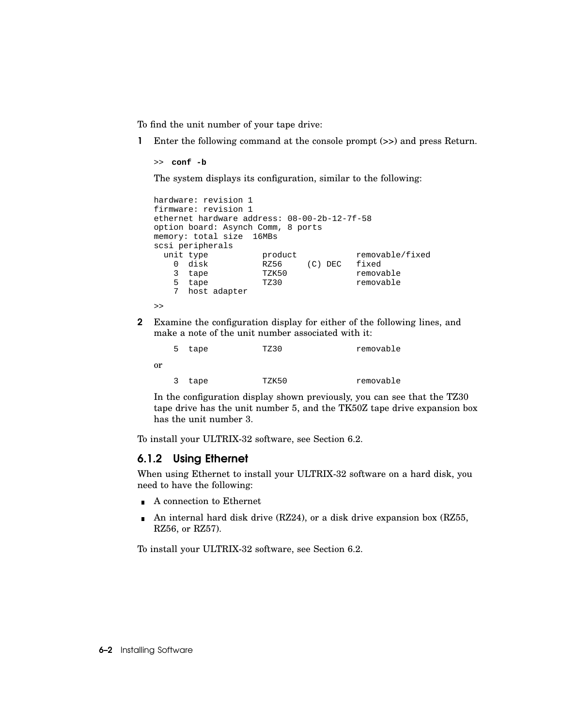To find the unit number of your tape drive:

1 Enter the following command at the console prompt (>>) and press Return.

```
>> conf -b
```
The system displays its configuration, similar to the following:

```
hardware: revision 1
firmware: revision 1
ethernet hardware address: 08-00-2b-12-7f-58
option board: Asynch Comm, 8 ports
memory: total size 16MBs
scsi peripherals
  unit type \begin{array}{ccc} \text{product} & \text{removable/fixed} \\ 0 & \text{disk} & \text{R256} & \text{(C) DEC} & \text{fixed} \end{array}RZ56 (C) DEC fixed
    3 tape TZK50 removable
    5 tape TZ30 removable
    7 host adapter
>>
```
2 Examine the configuration display for either of the following lines, and make a note of the unit number associated with it:

|    | 5. | tape | TZ30  | removable |
|----|----|------|-------|-----------|
| or |    |      |       |           |
|    | 3  | tape | TZK50 | removable |

In the configuration display shown previously, you can see that the TZ30 tape drive has the unit number 5, and the TK50Z tape drive expansion box has the unit number 3.

To install your ULTRIX-32 software, see Section 6.2.

#### 6.1.2 Using Ethernet

When using Ethernet to install your ULTRIX-32 software on a hard disk, you need to have the following:

- A connection to Ethernet
- $\blacksquare$ An internal hard disk drive (RZ24), or a disk drive expansion box (RZ55, RZ56, or RZ57).

To install your ULTRIX-32 software, see Section 6.2.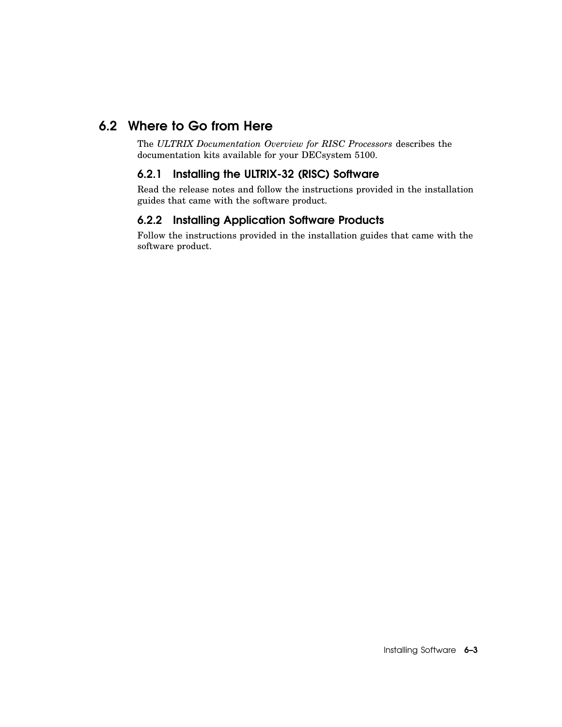#### 6.2 Where to Go from Here

The *ULTRIX Documentation Overview for RISC Processors* describes the documentation kits available for your DECsystem 5100.

#### 6.2.1 Installing the ULTRIX-32 (RISC) Software

Read the release notes and follow the instructions provided in the installation guides that came with the software product.

#### 6.2.2 Installing Application Software Products

Follow the instructions provided in the installation guides that came with the software product.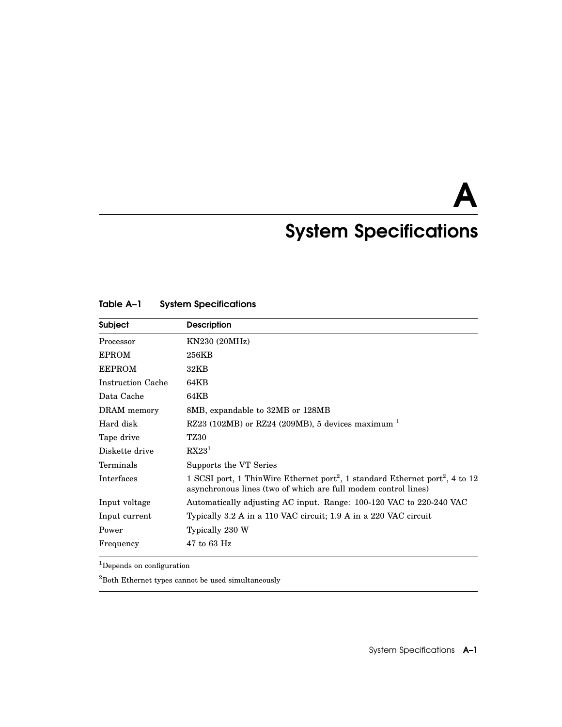A

## System Specifications

| Subject                  | <b>Description</b>                                                                                                                                                     |
|--------------------------|------------------------------------------------------------------------------------------------------------------------------------------------------------------------|
| Processor                | KN230 (20MHz)                                                                                                                                                          |
| <b>EPROM</b>             | 256KB                                                                                                                                                                  |
| <b>EEPROM</b>            | 32KB                                                                                                                                                                   |
| <b>Instruction Cache</b> | 64KB                                                                                                                                                                   |
| Data Cache               | 64KB                                                                                                                                                                   |
| DRAM memory              | 8MB, expandable to 32MB or 128MB                                                                                                                                       |
| Hard disk                | RZ23 (102MB) or RZ24 (209MB), 5 devices maximum $1$                                                                                                                    |
| Tape drive               | <b>TZ30</b>                                                                                                                                                            |
| Diskette drive           | RX23 <sup>1</sup>                                                                                                                                                      |
| Terminals                | Supports the VT Series                                                                                                                                                 |
| Interfaces               | 1 SCSI port, 1 ThinWire Ethernet port <sup>2</sup> , 1 standard Ethernet port <sup>2</sup> , 4 to 12<br>asynchronous lines (two of which are full modem control lines) |
| Input voltage            | Automatically adjusting AC input. Range: 100-120 VAC to 220-240 VAC                                                                                                    |
| Input current            | Typically 3.2 A in a 110 VAC circuit; 1.9 A in a 220 VAC circuit                                                                                                       |
| Power                    | Typically 230 W                                                                                                                                                        |
| Frequency                | $47$ to 63 Hz                                                                                                                                                          |

#### Table A–1 System Specifications

<sup>1</sup>Depends on configuration

 ${\rm ^2Both}$  Ethernet types cannot be used simultaneously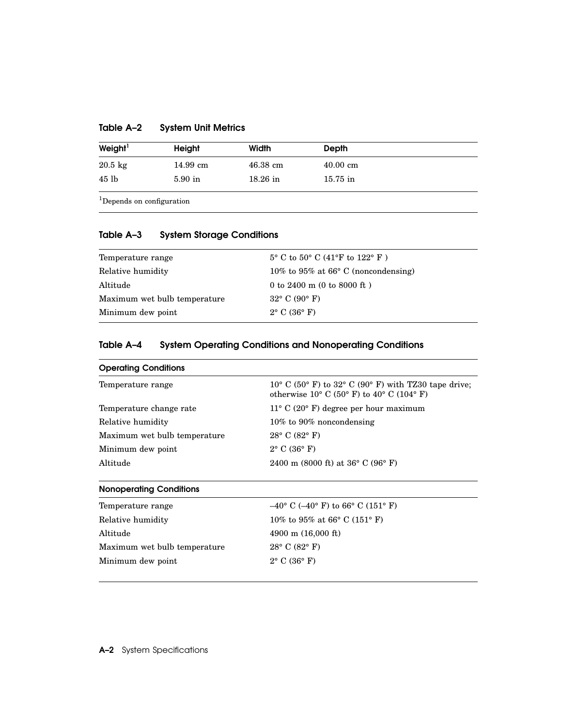| Table A-2 | <b>System Unit Metrics</b> |  |  |
|-----------|----------------------------|--|--|
|-----------|----------------------------|--|--|

| Weight <sup>1</sup> | Height    | Width      | <b>Depth</b>       |  |
|---------------------|-----------|------------|--------------------|--|
| $20.5 \text{ kg}$   | 14.99 cm  | $46.38$ cm | $40.00 \text{ cm}$ |  |
| 45 lb               | $5.90$ in | $18.26$ in | $15.75$ in         |  |

 $^{\rm 1}$  Depends on configuration

#### Table A–3 System Storage Conditions

| Temperature range            | $5^{\circ}$ C to $50^{\circ}$ C (41°F to 122°F) |
|------------------------------|-------------------------------------------------|
| Relative humidity            | 10% to 95% at 66 $\degree$ C (noncondensing)    |
| Altitude                     | 0 to 2400 m $(0 \text{ to } 8000 \text{ ft})$   |
| Maximum wet bulb temperature | $32^{\circ}$ C (90 $^{\circ}$ F)                |
| Minimum dew point            | $2^{\circ}$ C (36 $^{\circ}$ F)                 |

#### Table A–4 System Operating Conditions and Nonoperating Conditions

| <b>Operating Conditions</b>    |                                                                                                                              |
|--------------------------------|------------------------------------------------------------------------------------------------------------------------------|
| Temperature range              | $10^{\circ}$ C (50° F) to 32° C (90° F) with TZ30 tape drive;<br>otherwise $10^{\circ}$ C (50° F) to $40^{\circ}$ C (104° F) |
| Temperature change rate        | $11^{\circ}$ C (20° F) degree per hour maximum                                                                               |
| Relative humidity              | $10\%$ to 90% noncondensing                                                                                                  |
| Maximum wet bulb temperature   | $28^{\circ}$ C (82 $^{\circ}$ F)                                                                                             |
| Minimum dew point              | $2^{\circ}$ C (36 $^{\circ}$ F)                                                                                              |
| Altitude                       | 2400 m (8000 ft) at $36^{\circ}$ C (96 $^{\circ}$ F)                                                                         |
| <b>Nonoperating Conditions</b> |                                                                                                                              |
| Temperature range              | $-40^{\circ}$ C ( $-40^{\circ}$ F) to 66° C (151° F)                                                                         |
| Relative humidity              | 10% to 95% at 66 $^{\circ}$ C (151 $^{\circ}$ F)                                                                             |
| Altitude                       | 4900 m $(16,000 \text{ ft})$                                                                                                 |
| Maximum wet bulb temperature   | $28^{\circ}$ C (82 $^{\circ}$ F)                                                                                             |
| Minimum dew point              | $2^{\circ}$ C (36 $^{\circ}$ F)                                                                                              |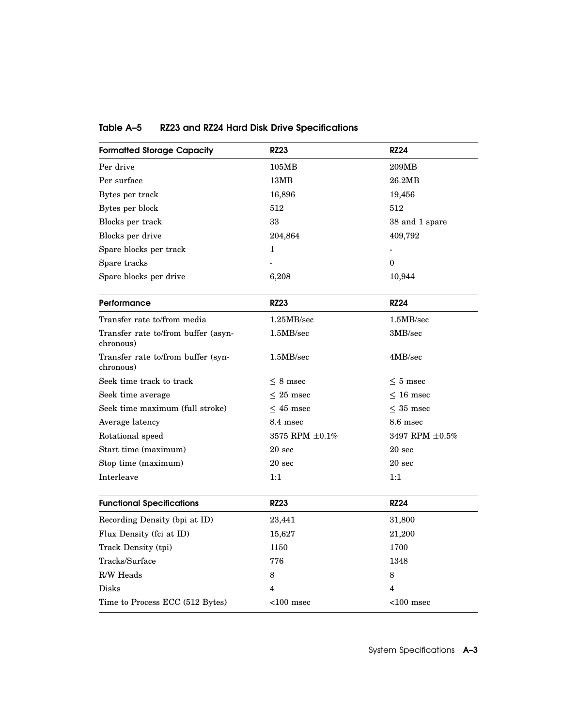| <b>Formatted Storage Capacity</b>                | <b>RZ23</b>          | <b>RZ24</b>             |
|--------------------------------------------------|----------------------|-------------------------|
| Per drive                                        | 105MB                | 209MB                   |
| Per surface                                      | 13MB                 | 26.2MB                  |
| Bytes per track                                  | 16,896               | 19,456                  |
| Bytes per block                                  | 512                  | 512                     |
| Blocks per track                                 | 33                   | 38 and 1 spare          |
| Blocks per drive                                 | 204,864              | 409,792                 |
| Spare blocks per track                           | $\mathbf 1$          |                         |
| Spare tracks                                     |                      | $\mathbf{0}$            |
| Spare blocks per drive                           | 6,208                | 10,944                  |
| Performance                                      | <b>RZ23</b>          | <b>RZ24</b>             |
| Transfer rate to/from media                      | 1.25MB/sec           | 1.5MB/sec               |
| Transfer rate to/from buffer (asyn-<br>chronous) | 1.5MB/sec            | 3MB/sec                 |
| Transfer rate to/from buffer (syn-<br>chronous)  | 1.5MB/sec            | 4MB/sec                 |
| Seek time track to track                         | $< 8$ msec           | $\leq 5$ msec           |
| Seek time average                                | $\leq 25$ msec       | $\leq 16$ msec          |
| Seek time maximum (full stroke)                  | $<$ 45 msec          | $<$ 35 msec             |
| Average latency                                  | 8.4 msec             | 8.6 msec                |
| Rotational speed                                 | 3575 RPM $\pm 0.1\%$ | 3497 RPM $\pm 0.5\%$    |
| Start time (maximum)                             | $20 \text{ sec}$     | 20 <sub>sec</sub>       |
| Stop time (maximum)                              | 20 <sub>sec</sub>    | 20 <sub>sec</sub>       |
| Interleave                                       | 1:1                  | 1:1                     |
| <b>Functional Specifications</b>                 | <b>RZ23</b>          | <b>RZ24</b>             |
| Recording Density (bpi at ID)                    | 23,441               | 31,800                  |
| Flux Density (fci at ID)                         | 15,627               | 21,200                  |
| Track Density (tpi)                              | 1150                 | 1700                    |
| Tracks/Surface                                   | 776                  | 1348                    |
| R/W Heads                                        | 8                    | 8                       |
| <b>Disks</b>                                     | 4                    | $\overline{\mathbf{4}}$ |
| Time to Process ECC (512 Bytes)                  | $<$ 100 msec         | $<$ 100 msec            |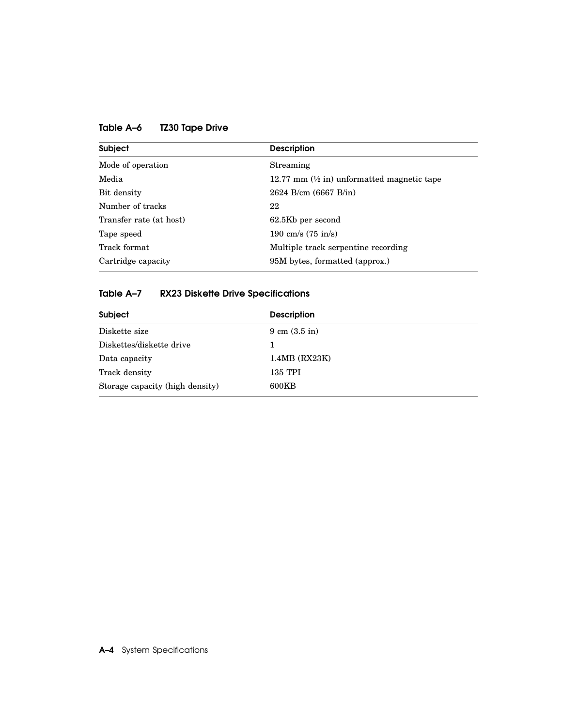| <b>Subject</b>          | <b>Description</b>                                                        |
|-------------------------|---------------------------------------------------------------------------|
| Mode of operation       | Streaming                                                                 |
| Media                   | 12.77 mm $\left(\frac{1}{2} \text{ in} \right)$ unformatted magnetic tape |
| Bit density             | $2624$ B/cm $(6667$ B/in)                                                 |
| Number of tracks        | 22                                                                        |
| Transfer rate (at host) | 62.5Kb per second                                                         |
| Tape speed              | 190 cm/s $(75 \text{ in/s})$                                              |
| Track format            | Multiple track serpentine recording                                       |
| Cartridge capacity      | 95M bytes, formatted (approx.)                                            |

Table A–6 TZ30 Tape Drive

#### Table A–7 RX23 Diskette Drive Specifications

| Subject                         | <b>Description</b>               |  |
|---------------------------------|----------------------------------|--|
| Diskette size                   | $9 \text{ cm } (3.5 \text{ in})$ |  |
| Diskettes/diskette drive        | 1                                |  |
| Data capacity                   | $1.4MB$ (RX23K)                  |  |
| Track density                   | 135 TPI                          |  |
| Storage capacity (high density) | 600KB                            |  |
|                                 |                                  |  |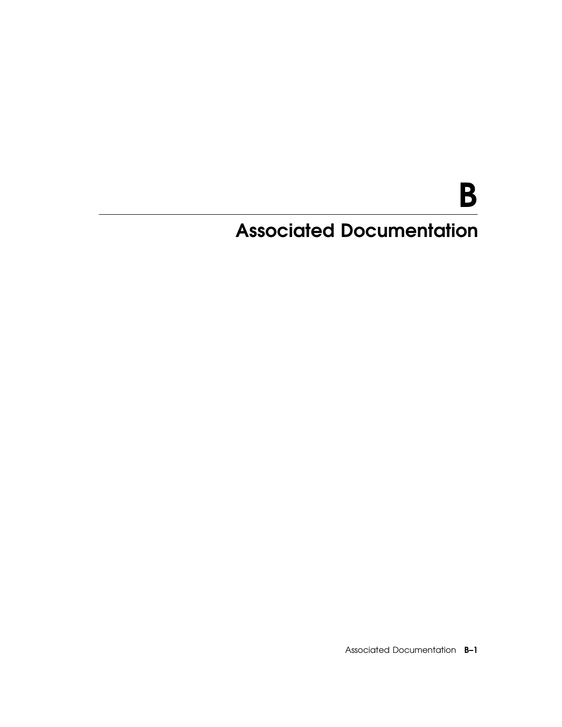# B

## Associated Documentation

Associated Documentation B–1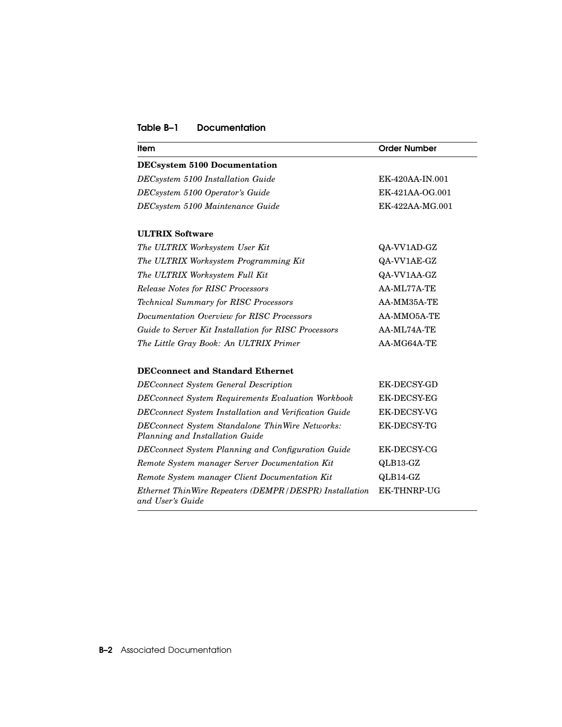#### Table B–1 Documentation

| ltem                                                                               | <b>Order Number</b> |
|------------------------------------------------------------------------------------|---------------------|
| <b>DECsystem 5100 Documentation</b>                                                |                     |
| DECsystem 5100 Installation Guide                                                  | EK-420AA-IN.001     |
| DECsystem 5100 Operator's Guide                                                    | EK-421AA-OG.001     |
| DECsystem 5100 Maintenance Guide                                                   | EK-422AA-MG.001     |
| <b>ULTRIX Software</b>                                                             |                     |
| The ULTRIX Worksystem User Kit                                                     | QA-VV1AD-GZ         |
| The ULTRIX Worksystem Programming Kit                                              | QA-VV1AE-GZ         |
| The ULTRIX Worksystem Full Kit                                                     | QA-VV1AA-GZ         |
| <b>Release Notes for RISC Processors</b>                                           | AA-ML77A-TE         |
| <b>Technical Summary for RISC Processors</b>                                       | AA-MM35A-TE         |
| Documentation Overview for RISC Processors                                         | AA-MMO5A-TE         |
| Guide to Server Kit Installation for RISC Processors                               | AA-ML74A-TE         |
| The Little Gray Book: An ULTRIX Primer                                             | AA-MG64A-TE         |
| <b>DECconnect and Standard Ethernet</b>                                            |                     |
| <b>DECconnect System General Description</b>                                       | <b>EK-DECSY-GD</b>  |
| <b>DECconnect System Requirements Evaluation Workbook</b>                          | <b>EK-DECSY-EG</b>  |
| DECconnect System Installation and Verification Guide                              | <b>EK-DECSY-VG</b>  |
| DECconnect System Standalone ThinWire Networks:<br>Planning and Installation Guide | EK-DECSY-TG         |
| <b>DECconnect System Planning and Configuration Guide</b>                          | EK-DECSY-CG         |
| Remote System manager Server Documentation Kit                                     | QLB13-GZ            |
| Remote System manager Client Documentation Kit                                     | QLB14-GZ            |
| Ethernet ThinWire Repeaters (DEMPR/DESPR) Installation<br>and User's Guide         | EK-THNRP-UG         |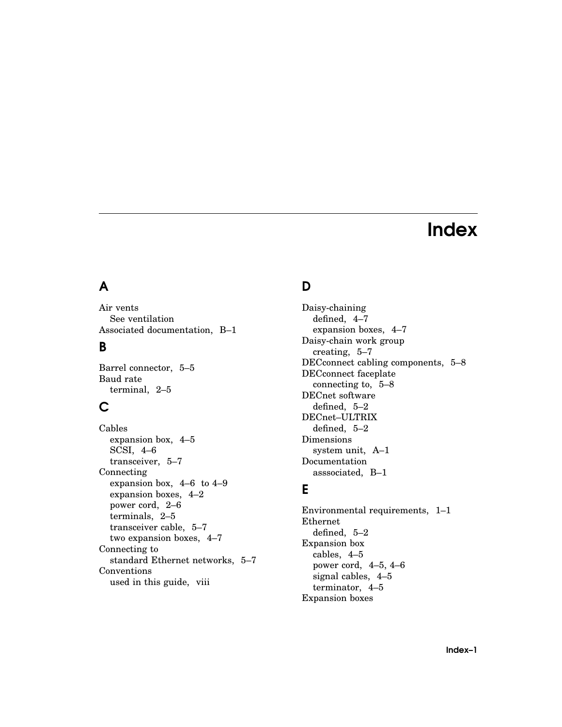## Index

## A

Air vents See ventilation Associated documentation, B–1

#### B

Barrel connector, 5–5 Baud rate terminal, 2–5

#### C

Cables expansion box, 4–5 SCSI, 4–6 transceiver, 5–7 Connecting expansion box, 4–6 to 4–9 expansion boxes, 4–2 power cord, 2–6 terminals, 2–5 transceiver cable, 5–7 two expansion boxes, 4–7 Connecting to standard Ethernet networks, 5–7 Conventions used in this guide, viii

#### D

Daisy-chaining defined, 4–7 expansion boxes, 4–7 Daisy-chain work group creating, 5–7 DECconnect cabling components, 5–8 DECconnect faceplate connecting to, 5–8 DECnet software defined, 5–2 DECnet–ULTRIX defined, 5–2 Dimensions system unit, A–1 Documentation asssociated, B–1

#### E

Environmental requirements, 1–1 Ethernet defined, 5–2 Expansion box cables, 4–5 power cord, 4–5, 4–6 signal cables, 4–5 terminator, 4–5 Expansion boxes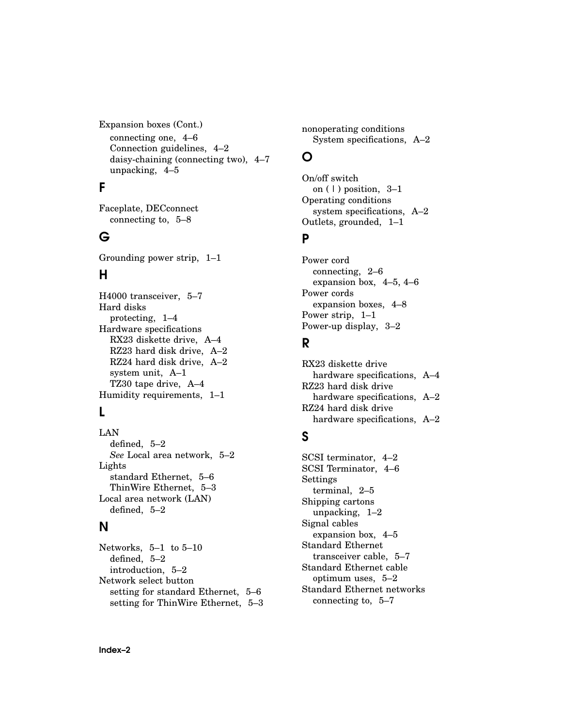Expansion boxes (Cont.) connecting one, 4–6 Connection guidelines, 4–2 daisy-chaining (connecting two), 4–7 unpacking, 4–5

#### F

Faceplate, DECconnect connecting to, 5–8

#### G

Grounding power strip, 1–1

#### H

H4000 transceiver, 5–7 Hard disks protecting, 1–4 Hardware specifications RX23 diskette drive, A–4 RZ23 hard disk drive, A–2 RZ24 hard disk drive, A–2 system unit, A–1 TZ30 tape drive, A–4 Humidity requirements, 1–1

#### L

LAN defined, 5–2 *See* Local area network, 5–2 Lights standard Ethernet, 5–6 ThinWire Ethernet, 5–3 Local area network (LAN) defined, 5–2

#### N

Networks, 5–1 to 5–10 defined, 5–2 introduction, 5–2 Network select button setting for standard Ethernet, 5–6 setting for ThinWire Ethernet, 5–3 nonoperating conditions System specifications, A–2

#### O

On/off switch on  $(1)$  position,  $3-1$ Operating conditions system specifications, A–2 Outlets, grounded, 1–1

#### P

Power cord connecting, 2–6 expansion box, 4–5, 4–6 Power cords expansion boxes, 4–8 Power strip, 1–1 Power-up display, 3–2

#### R

RX23 diskette drive hardware specifications, A-4 RZ23 hard disk drive hardware specifications, A-2 RZ24 hard disk drive hardware specifications, A–2

#### S

SCSI terminator, 4–2 SCSI Terminator, 4–6 Settings terminal, 2–5 Shipping cartons unpacking, 1–2 Signal cables expansion box, 4–5 Standard Ethernet transceiver cable, 5–7 Standard Ethernet cable optimum uses, 5–2 Standard Ethernet networks connecting to, 5–7